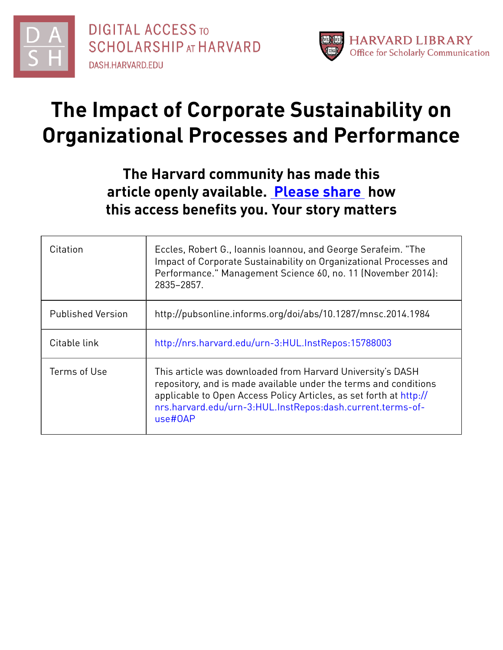



# **The Impact of Corporate Sustainability on Organizational Processes and Performance**

**The Harvard community has made this article openly available. [Please](http://osc.hul.harvard.edu/dash/open-access-feedback?handle=&title=The%20Impact%20of%20Corporate%20Sustainability%20on%20Organizational%20Processes%20and%20Performance&community=1/3345929&collection=1/3345930&owningCollection1/3345930&harvardAuthors=eec39fb1356eb2b56d6fea3399619340&department) share how this access benefits you. Your story matters**

| Citation                 | Eccles, Robert G., Ioannis Ioannou, and George Serafeim. "The<br>Impact of Corporate Sustainability on Organizational Processes and<br>Performance." Management Science 60, no. 11 (November 2014):<br>2835-2857.                                                             |
|--------------------------|-------------------------------------------------------------------------------------------------------------------------------------------------------------------------------------------------------------------------------------------------------------------------------|
| <b>Published Version</b> | http://pubsonline.informs.org/doi/abs/10.1287/mnsc.2014.1984                                                                                                                                                                                                                  |
| Citable link             | http://nrs.harvard.edu/urn-3:HUL.InstRepos:15788003                                                                                                                                                                                                                           |
| Terms of Use             | This article was downloaded from Harvard University's DASH<br>repository, and is made available under the terms and conditions<br>applicable to Open Access Policy Articles, as set forth at http://<br>nrs.harvard.edu/urn-3:HUL.InstRepos:dash.current.terms-of-<br>use#OAP |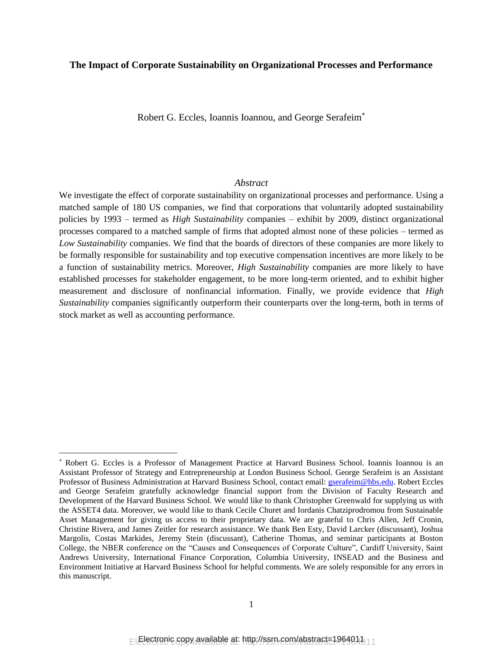#### **The Impact of Corporate Sustainability on Organizational Processes and Performance**

Robert G. Eccles, Ioannis Ioannou, and George Serafeim

#### *Abstract*

We investigate the effect of corporate sustainability on organizational processes and performance. Using a matched sample of 180 US companies, we find that corporations that voluntarily adopted sustainability policies by 1993 – termed as *High Sustainability* companies – exhibit by 2009, distinct organizational processes compared to a matched sample of firms that adopted almost none of these policies – termed as *Low Sustainability* companies. We find that the boards of directors of these companies are more likely to be formally responsible for sustainability and top executive compensation incentives are more likely to be a function of sustainability metrics. Moreover, *High Sustainability* companies are more likely to have established processes for stakeholder engagement, to be more long-term oriented, and to exhibit higher measurement and disclosure of nonfinancial information. Finally, we provide evidence that *High Sustainability* companies significantly outperform their counterparts over the long-term, both in terms of stock market as well as accounting performance.

 $\overline{\phantom{a}}$ 

Robert G. Eccles is a Professor of Management Practice at Harvard Business School. Ioannis Ioannou is an Assistant Professor of Strategy and Entrepreneurship at London Business School. George Serafeim is an Assistant Professor of Business Administration at Harvard Business School, contact email[: gserafeim@hbs.edu.](mailto:gserafeim@hbs.edu) Robert Eccles and George Serafeim gratefully acknowledge financial support from the Division of Faculty Research and Development of the Harvard Business School. We would like to thank Christopher Greenwald for supplying us with the ASSET4 data. Moreover, we would like to thank Cecile Churet and Iordanis Chatziprodromou from Sustainable Asset Management for giving us access to their proprietary data. We are grateful to Chris Allen, Jeff Cronin, Christine Rivera, and James Zeitler for research assistance. We thank Ben Esty, David Larcker (discussant), Joshua Margolis, Costas Markides, Jeremy Stein (discussant), Catherine Thomas, and seminar participants at Boston College, the NBER conference on the "Causes and Consequences of Corporate Culture", Cardiff University, Saint Andrews University, International Finance Corporation, Columbia University, INSEAD and the Business and Environment Initiative at Harvard Business School for helpful comments. We are solely responsible for any errors in this manuscript.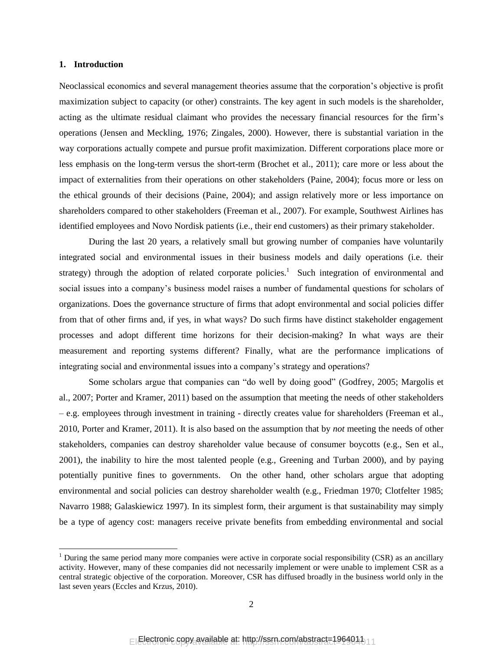#### **1. Introduction**

 $\overline{\phantom{a}}$ 

Neoclassical economics and several management theories assume that the corporation's objective is profit maximization subject to capacity (or other) constraints. The key agent in such models is the shareholder, acting as the ultimate residual claimant who provides the necessary financial resources for the firm's operations (Jensen and Meckling, 1976; Zingales, 2000). However, there is substantial variation in the way corporations actually compete and pursue profit maximization. Different corporations place more or less emphasis on the long-term versus the short-term (Brochet et al., 2011); care more or less about the impact of externalities from their operations on other stakeholders (Paine, 2004); focus more or less on the ethical grounds of their decisions (Paine, 2004); and assign relatively more or less importance on shareholders compared to other stakeholders (Freeman et al., 2007). For example, Southwest Airlines has identified employees and Novo Nordisk patients (i.e., their end customers) as their primary stakeholder.

During the last 20 years, a relatively small but growing number of companies have voluntarily integrated social and environmental issues in their business models and daily operations (i.e. their strategy) through the adoption of related corporate policies.<sup>1</sup> Such integration of environmental and social issues into a company's business model raises a number of fundamental questions for scholars of organizations. Does the governance structure of firms that adopt environmental and social policies differ from that of other firms and, if yes, in what ways? Do such firms have distinct stakeholder engagement processes and adopt different time horizons for their decision-making? In what ways are their measurement and reporting systems different? Finally, what are the performance implications of integrating social and environmental issues into a company's strategy and operations?

Some scholars argue that companies can "do well by doing good" (Godfrey, 2005; Margolis et al., 2007; Porter and Kramer, 2011) based on the assumption that meeting the needs of other stakeholders – e.g. employees through investment in training - directly creates value for shareholders (Freeman et al., 2010, Porter and Kramer, 2011). It is also based on the assumption that by *not* meeting the needs of other stakeholders, companies can destroy shareholder value because of consumer boycotts (e.g., Sen et al., 2001), the inability to hire the most talented people (e.g., Greening and Turban 2000), and by paying potentially punitive fines to governments. On the other hand, other scholars argue that adopting environmental and social policies can destroy shareholder wealth (e.g., Friedman 1970; Clotfelter 1985; Navarro 1988; Galaskiewicz 1997). In its simplest form, their argument is that sustainability may simply be a type of agency cost: managers receive private benefits from embedding environmental and social

 $1$  During the same period many more companies were active in corporate social responsibility (CSR) as an ancillary activity. However, many of these companies did not necessarily implement or were unable to implement CSR as a central strategic objective of the corporation. Moreover, CSR has diffused broadly in the business world only in the last seven years (Eccles and Krzus, 2010).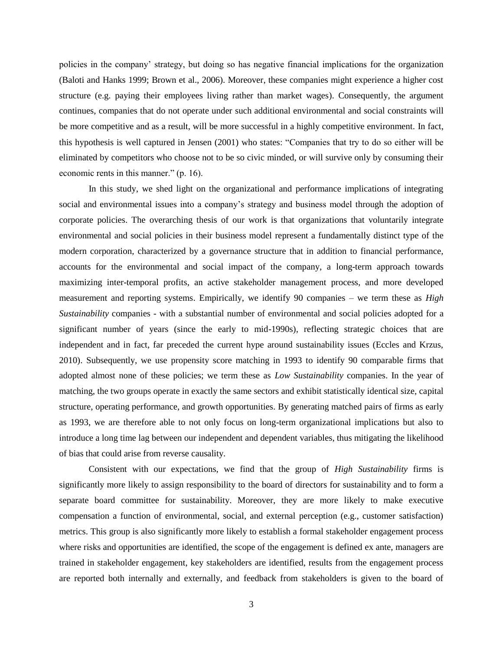policies in the company' strategy, but doing so has negative financial implications for the organization (Baloti and Hanks 1999; Brown et al., 2006). Moreover, these companies might experience a higher cost structure (e.g. paying their employees living rather than market wages). Consequently, the argument continues, companies that do not operate under such additional environmental and social constraints will be more competitive and as a result, will be more successful in a highly competitive environment. In fact, this hypothesis is well captured in Jensen (2001) who states: "Companies that try to do so either will be eliminated by competitors who choose not to be so civic minded, or will survive only by consuming their economic rents in this manner."  $(p. 16)$ .

In this study, we shed light on the organizational and performance implications of integrating social and environmental issues into a company's strategy and business model through the adoption of corporate policies. The overarching thesis of our work is that organizations that voluntarily integrate environmental and social policies in their business model represent a fundamentally distinct type of the modern corporation, characterized by a governance structure that in addition to financial performance, accounts for the environmental and social impact of the company, a long-term approach towards maximizing inter-temporal profits, an active stakeholder management process, and more developed measurement and reporting systems. Empirically, we identify 90 companies – we term these as *High Sustainability* companies - with a substantial number of environmental and social policies adopted for a significant number of years (since the early to mid-1990s), reflecting strategic choices that are independent and in fact, far preceded the current hype around sustainability issues (Eccles and Krzus, 2010). Subsequently, we use propensity score matching in 1993 to identify 90 comparable firms that adopted almost none of these policies; we term these as *Low Sustainability* companies. In the year of matching, the two groups operate in exactly the same sectors and exhibit statistically identical size, capital structure, operating performance, and growth opportunities. By generating matched pairs of firms as early as 1993, we are therefore able to not only focus on long-term organizational implications but also to introduce a long time lag between our independent and dependent variables, thus mitigating the likelihood of bias that could arise from reverse causality.

Consistent with our expectations, we find that the group of *High Sustainability* firms is significantly more likely to assign responsibility to the board of directors for sustainability and to form a separate board committee for sustainability. Moreover, they are more likely to make executive compensation a function of environmental, social, and external perception (e.g., customer satisfaction) metrics. This group is also significantly more likely to establish a formal stakeholder engagement process where risks and opportunities are identified, the scope of the engagement is defined ex ante, managers are trained in stakeholder engagement, key stakeholders are identified, results from the engagement process are reported both internally and externally, and feedback from stakeholders is given to the board of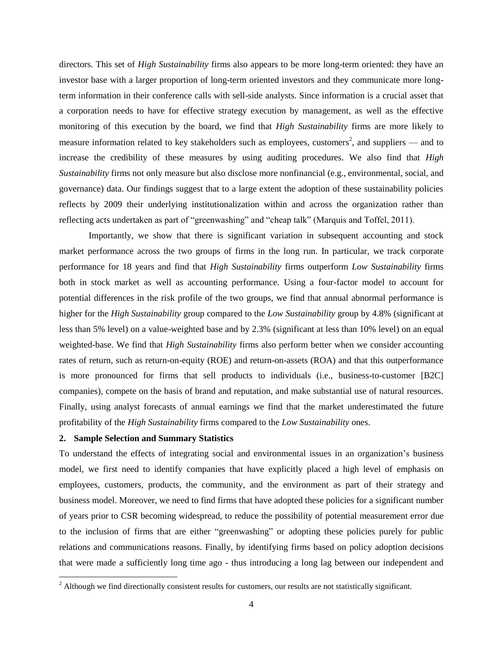directors. This set of *High Sustainability* firms also appears to be more long-term oriented: they have an investor base with a larger proportion of long-term oriented investors and they communicate more longterm information in their conference calls with sell-side analysts. Since information is a crucial asset that a corporation needs to have for effective strategy execution by management, as well as the effective monitoring of this execution by the board, we find that *High Sustainability* firms are more likely to measure information related to key stakeholders such as employees, customers<sup>2</sup>, and suppliers — and to increase the credibility of these measures by using auditing procedures. We also find that *High Sustainability* firms not only measure but also disclose more nonfinancial (e.g., environmental, social, and governance) data. Our findings suggest that to a large extent the adoption of these sustainability policies reflects by 2009 their underlying institutionalization within and across the organization rather than reflecting acts undertaken as part of "greenwashing" and "cheap talk" (Marquis and Toffel, 2011).

Importantly, we show that there is significant variation in subsequent accounting and stock market performance across the two groups of firms in the long run. In particular, we track corporate performance for 18 years and find that *High Sustainability* firms outperform *Low Sustainability* firms both in stock market as well as accounting performance. Using a four-factor model to account for potential differences in the risk profile of the two groups, we find that annual abnormal performance is higher for the *High Sustainability* group compared to the *Low Sustainability* group by 4.8% (significant at less than 5% level) on a value-weighted base and by 2.3% (significant at less than 10% level) on an equal weighted-base. We find that *High Sustainability* firms also perform better when we consider accounting rates of return, such as return-on-equity (ROE) and return-on-assets (ROA) and that this outperformance is more pronounced for firms that sell products to individuals (i.e., business-to-customer [B2C] companies), compete on the basis of brand and reputation, and make substantial use of natural resources. Finally, using analyst forecasts of annual earnings we find that the market underestimated the future profitability of the *High Sustainability* firms compared to the *Low Sustainability* ones.

#### **2. Sample Selection and Summary Statistics**

 $\overline{\phantom{a}}$ 

To understand the effects of integrating social and environmental issues in an organization's business model, we first need to identify companies that have explicitly placed a high level of emphasis on employees, customers, products, the community, and the environment as part of their strategy and business model. Moreover, we need to find firms that have adopted these policies for a significant number of years prior to CSR becoming widespread, to reduce the possibility of potential measurement error due to the inclusion of firms that are either "greenwashing" or adopting these policies purely for public relations and communications reasons. Finally, by identifying firms based on policy adoption decisions that were made a sufficiently long time ago - thus introducing a long lag between our independent and

 $2$  Although we find directionally consistent results for customers, our results are not statistically significant.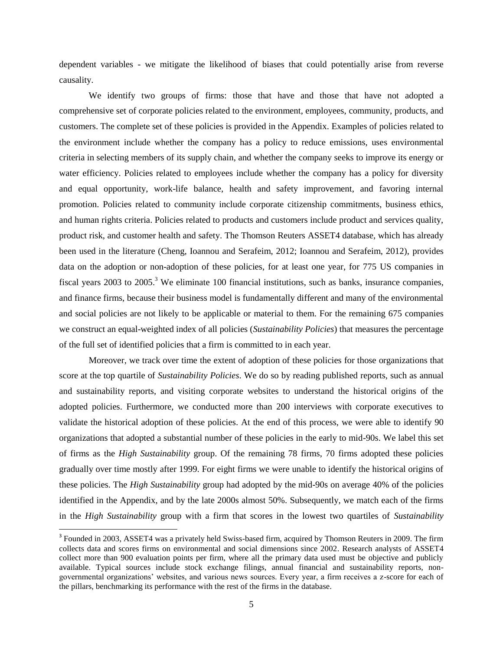dependent variables - we mitigate the likelihood of biases that could potentially arise from reverse causality.

We identify two groups of firms: those that have and those that have not adopted a comprehensive set of corporate policies related to the environment, employees, community, products, and customers. The complete set of these policies is provided in the Appendix. Examples of policies related to the environment include whether the company has a policy to reduce emissions, uses environmental criteria in selecting members of its supply chain, and whether the company seeks to improve its energy or water efficiency. Policies related to employees include whether the company has a policy for diversity and equal opportunity, work-life balance, health and safety improvement, and favoring internal promotion. Policies related to community include corporate citizenship commitments, business ethics, and human rights criteria. Policies related to products and customers include product and services quality, product risk, and customer health and safety. The Thomson Reuters ASSET4 database, which has already been used in the literature (Cheng, Ioannou and Serafeim, 2012; Ioannou and Serafeim, 2012), provides data on the adoption or non-adoption of these policies, for at least one year, for 775 US companies in fiscal years 2003 to 2005.<sup>3</sup> We eliminate 100 financial institutions, such as banks, insurance companies, and finance firms, because their business model is fundamentally different and many of the environmental and social policies are not likely to be applicable or material to them. For the remaining 675 companies we construct an equal-weighted index of all policies (*Sustainability Policies*) that measures the percentage of the full set of identified policies that a firm is committed to in each year.

Moreover, we track over time the extent of adoption of these policies for those organizations that score at the top quartile of *Sustainability Policies*. We do so by reading published reports, such as annual and sustainability reports, and visiting corporate websites to understand the historical origins of the adopted policies. Furthermore, we conducted more than 200 interviews with corporate executives to validate the historical adoption of these policies. At the end of this process, we were able to identify 90 organizations that adopted a substantial number of these policies in the early to mid-90s. We label this set of firms as the *High Sustainability* group. Of the remaining 78 firms, 70 firms adopted these policies gradually over time mostly after 1999. For eight firms we were unable to identify the historical origins of these policies. The *High Sustainability* group had adopted by the mid-90s on average 40% of the policies identified in the Appendix, and by the late 2000s almost 50%. Subsequently, we match each of the firms in the *High Sustainability* group with a firm that scores in the lowest two quartiles of *Sustainability* 

l

<sup>&</sup>lt;sup>3</sup> Founded in 2003, ASSET4 was a privately held Swiss-based firm, acquired by Thomson Reuters in 2009. The firm collects data and scores firms on environmental and social dimensions since 2002. Research analysts of ASSET4 collect more than 900 evaluation points per firm, where all the primary data used must be objective and publicly available. Typical sources include stock exchange filings, annual financial and sustainability reports, nongovernmental organizations' websites, and various news sources. Every year, a firm receives a z-score for each of the pillars, benchmarking its performance with the rest of the firms in the database.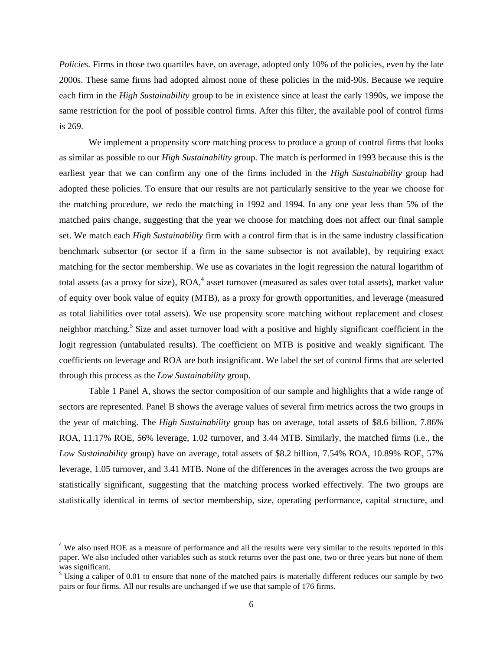*Policies.* Firms in those two quartiles have, on average, adopted only 10% of the policies, even by the late 2000s. These same firms had adopted almost none of these policies in the mid-90s. Because we require each firm in the *High Sustainability* group to be in existence since at least the early 1990s, we impose the same restriction for the pool of possible control firms. After this filter, the available pool of control firms is 269.

We implement a propensity score matching process to produce a group of control firms that looks as similar as possible to our *High Sustainability* group. The match is performed in 1993 because this is the earliest year that we can confirm any one of the firms included in the *High Sustainability* group had adopted these policies. To ensure that our results are not particularly sensitive to the year we choose for the matching procedure, we redo the matching in 1992 and 1994. In any one year less than 5% of the matched pairs change, suggesting that the year we choose for matching does not affect our final sample set. We match each *High Sustainability* firm with a control firm that is in the same industry classification benchmark subsector (or sector if a firm in the same subsector is not available), by requiring exact matching for the sector membership. We use as covariates in the logit regression the natural logarithm of total assets (as a proxy for size),  $ROA<sup>4</sup>$  asset turnover (measured as sales over total assets), market value of equity over book value of equity (MTB), as a proxy for growth opportunities, and leverage (measured as total liabilities over total assets). We use propensity score matching without replacement and closest neighbor matching.<sup>5</sup> Size and asset turnover load with a positive and highly significant coefficient in the logit regression (untabulated results). The coefficient on MTB is positive and weakly significant. The coefficients on leverage and ROA are both insignificant. We label the set of control firms that are selected through this process as the *Low Sustainability* group.

Table 1 Panel A, shows the sector composition of our sample and highlights that a wide range of sectors are represented. Panel B shows the average values of several firm metrics across the two groups in the year of matching. The *High Sustainability* group has on average, total assets of \$8.6 billion, 7.86% ROA, 11.17% ROE, 56% leverage, 1.02 turnover, and 3.44 MTB. Similarly, the matched firms (i.e., the *Low Sustainability* group) have on average, total assets of \$8.2 billion, 7.54% ROA, 10.89% ROE, 57% leverage, 1.05 turnover, and 3.41 MTB. None of the differences in the averages across the two groups are statistically significant, suggesting that the matching process worked effectively. The two groups are statistically identical in terms of sector membership, size, operating performance, capital structure, and

 $\overline{a}$ 

<sup>&</sup>lt;sup>4</sup> We also used ROE as a measure of performance and all the results were very similar to the results reported in this paper. We also included other variables such as stock returns over the past one, two or three years but none of them was significant.

 $5$  Using a caliper of 0.01 to ensure that none of the matched pairs is materially different reduces our sample by two pairs or four firms. All our results are unchanged if we use that sample of 176 firms.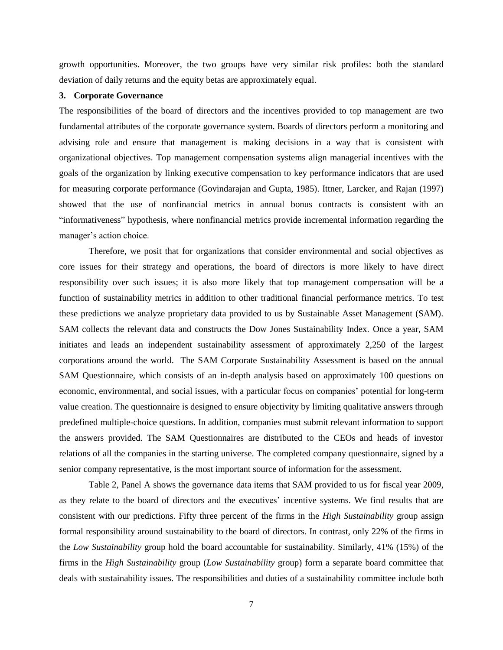growth opportunities. Moreover, the two groups have very similar risk profiles: both the standard deviation of daily returns and the equity betas are approximately equal.

#### **3. Corporate Governance**

The responsibilities of the board of directors and the incentives provided to top management are two fundamental attributes of the corporate governance system. Boards of directors perform a monitoring and advising role and ensure that management is making decisions in a way that is consistent with organizational objectives. Top management compensation systems align managerial incentives with the goals of the organization by linking executive compensation to key performance indicators that are used for measuring corporate performance (Govindarajan and Gupta, 1985). Ittner, Larcker, and Rajan (1997) showed that the use of nonfinancial metrics in annual bonus contracts is consistent with an ―informativeness‖ hypothesis, where nonfinancial metrics provide incremental information regarding the manager's action choice.

Therefore, we posit that for organizations that consider environmental and social objectives as core issues for their strategy and operations, the board of directors is more likely to have direct responsibility over such issues; it is also more likely that top management compensation will be a function of sustainability metrics in addition to other traditional financial performance metrics. To test these predictions we analyze proprietary data provided to us by Sustainable Asset Management (SAM). SAM collects the relevant data and constructs the Dow Jones Sustainability Index. Once a year, SAM initiates and leads an independent sustainability assessment of approximately 2,250 of the largest corporations around the world. The SAM Corporate Sustainability Assessment is based on the annual SAM Questionnaire, which consists of an in-depth analysis based on approximately 100 questions on economic, environmental, and social issues, with a particular focus on companies' potential for long-term value creation. The questionnaire is designed to ensure objectivity by limiting qualitative answers through predefined multiple-choice questions. In addition, companies must submit relevant information to support the answers provided. The SAM Questionnaires are distributed to the CEOs and heads of investor relations of all the companies in the starting universe. The completed company questionnaire, signed by a senior company representative, is the most important source of information for the assessment.

Table 2, Panel A shows the governance data items that SAM provided to us for fiscal year 2009, as they relate to the board of directors and the executives' incentive systems. We find results that are consistent with our predictions. Fifty three percent of the firms in the *High Sustainability* group assign formal responsibility around sustainability to the board of directors. In contrast, only 22% of the firms in the *Low Sustainability* group hold the board accountable for sustainability. Similarly, 41% (15%) of the firms in the *High Sustainability* group (*Low Sustainability* group) form a separate board committee that deals with sustainability issues. The responsibilities and duties of a sustainability committee include both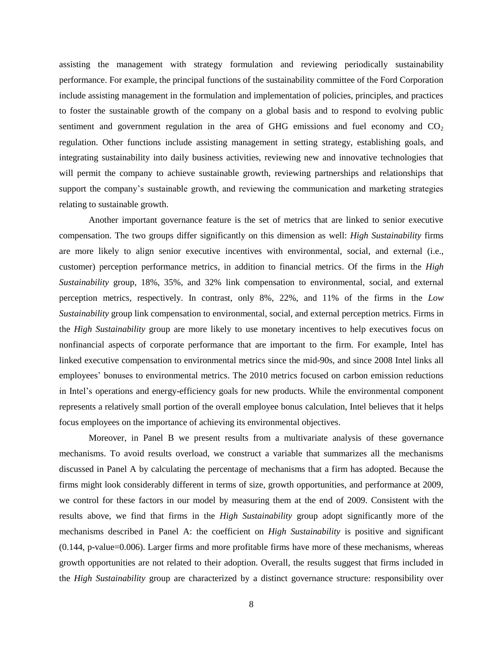assisting the management with strategy formulation and reviewing periodically sustainability performance. For example, the principal functions of the sustainability committee of the Ford Corporation include assisting management in the formulation and implementation of policies, principles, and practices to foster the sustainable growth of the company on a global basis and to respond to evolving public sentiment and government regulation in the area of GHG emissions and fuel economy and  $CO<sub>2</sub>$ regulation. Other functions include assisting management in setting strategy, establishing goals, and integrating sustainability into daily business activities, reviewing new and innovative technologies that will permit the company to achieve sustainable growth, reviewing partnerships and relationships that support the company's sustainable growth, and reviewing the communication and marketing strategies relating to sustainable growth.

Another important governance feature is the set of metrics that are linked to senior executive compensation. The two groups differ significantly on this dimension as well: *High Sustainability* firms are more likely to align senior executive incentives with environmental, social, and external (i.e., customer) perception performance metrics, in addition to financial metrics. Of the firms in the *High Sustainability* group, 18%, 35%, and 32% link compensation to environmental, social, and external perception metrics, respectively. In contrast, only 8%, 22%, and 11% of the firms in the *Low Sustainability* group link compensation to environmental, social, and external perception metrics. Firms in the *High Sustainability* group are more likely to use monetary incentives to help executives focus on nonfinancial aspects of corporate performance that are important to the firm. For example, Intel has linked executive compensation to environmental metrics since the mid-90s, and since 2008 Intel links all employees' bonuses to environmental metrics. The 2010 metrics focused on carbon emission reductions in Intel's operations and energy-efficiency goals for new products. While the environmental component represents a relatively small portion of the overall employee bonus calculation, Intel believes that it helps focus employees on the importance of achieving its environmental objectives.

Moreover, in Panel B we present results from a multivariate analysis of these governance mechanisms. To avoid results overload, we construct a variable that summarizes all the mechanisms discussed in Panel A by calculating the percentage of mechanisms that a firm has adopted. Because the firms might look considerably different in terms of size, growth opportunities, and performance at 2009, we control for these factors in our model by measuring them at the end of 2009. Consistent with the results above, we find that firms in the *High Sustainability* group adopt significantly more of the mechanisms described in Panel A: the coefficient on *High Sustainability* is positive and significant (0.144, p-value=0.006). Larger firms and more profitable firms have more of these mechanisms, whereas growth opportunities are not related to their adoption. Overall, the results suggest that firms included in the *High Sustainability* group are characterized by a distinct governance structure: responsibility over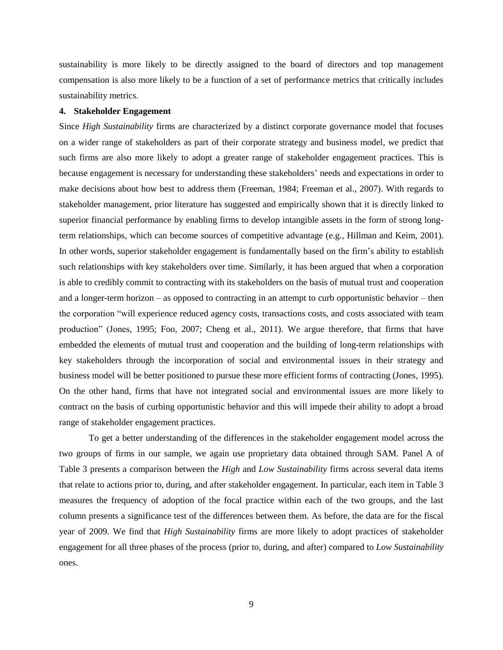sustainability is more likely to be directly assigned to the board of directors and top management compensation is also more likely to be a function of a set of performance metrics that critically includes sustainability metrics.

#### **4. Stakeholder Engagement**

Since *High Sustainability* firms are characterized by a distinct corporate governance model that focuses on a wider range of stakeholders as part of their corporate strategy and business model, we predict that such firms are also more likely to adopt a greater range of stakeholder engagement practices. This is because engagement is necessary for understanding these stakeholders' needs and expectations in order to make decisions about how best to address them (Freeman, 1984; Freeman et al., 2007). With regards to stakeholder management, prior literature has suggested and empirically shown that it is directly linked to superior financial performance by enabling firms to develop intangible assets in the form of strong longterm relationships, which can become sources of competitive advantage (e.g., Hillman and Keim, 2001). In other words, superior stakeholder engagement is fundamentally based on the firm's ability to establish such relationships with key stakeholders over time. Similarly, it has been argued that when a corporation is able to credibly commit to contracting with its stakeholders on the basis of mutual trust and cooperation and a longer-term horizon – as opposed to contracting in an attempt to curb opportunistic behavior – then the corporation "will experience reduced agency costs, transactions costs, and costs associated with team production" (Jones, 1995; Foo, 2007; Cheng et al., 2011). We argue therefore, that firms that have embedded the elements of mutual trust and cooperation and the building of long-term relationships with key stakeholders through the incorporation of social and environmental issues in their strategy and business model will be better positioned to pursue these more efficient forms of contracting (Jones, 1995). On the other hand, firms that have not integrated social and environmental issues are more likely to contract on the basis of curbing opportunistic behavior and this will impede their ability to adopt a broad range of stakeholder engagement practices.

To get a better understanding of the differences in the stakeholder engagement model across the two groups of firms in our sample, we again use proprietary data obtained through SAM. Panel A of Table 3 presents a comparison between the *High* and *Low Sustainability* firms across several data items that relate to actions prior to, during, and after stakeholder engagement. In particular, each item in Table 3 measures the frequency of adoption of the focal practice within each of the two groups, and the last column presents a significance test of the differences between them. As before, the data are for the fiscal year of 2009. We find that *High Sustainability* firms are more likely to adopt practices of stakeholder engagement for all three phases of the process (prior to, during, and after) compared to *Low Sustainability* ones.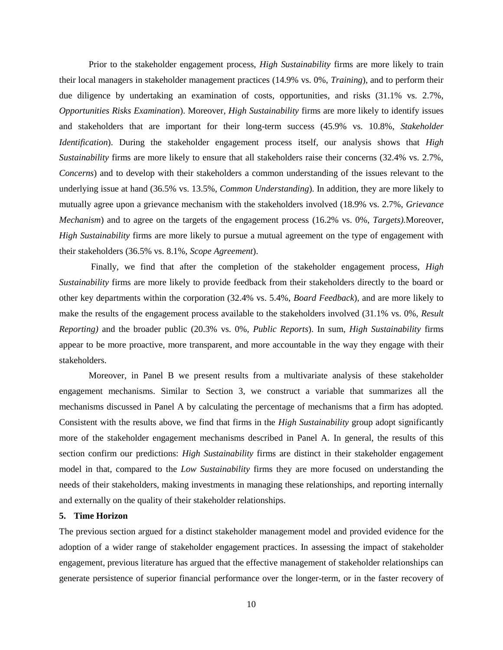Prior to the stakeholder engagement process, *High Sustainability* firms are more likely to train their local managers in stakeholder management practices (14.9% vs. 0%, *Training*), and to perform their due diligence by undertaking an examination of costs, opportunities, and risks (31.1% vs. 2.7%, *Opportunities Risks Examination*). Moreover, *High Sustainability* firms are more likely to identify issues and stakeholders that are important for their long-term success (45.9% vs. 10.8%, *Stakeholder Identification*). During the stakeholder engagement process itself, our analysis shows that *High Sustainability* firms are more likely to ensure that all stakeholders raise their concerns (32.4% vs. 2.7%, *Concerns*) and to develop with their stakeholders a common understanding of the issues relevant to the underlying issue at hand (36.5% vs. 13.5%, *Common Understanding*). In addition, they are more likely to mutually agree upon a grievance mechanism with the stakeholders involved (18.9% vs. 2.7%, *Grievance Mechanism*) and to agree on the targets of the engagement process (16.2% vs. 0%, *Targets).*Moreover, *High Sustainability* firms are more likely to pursue a mutual agreement on the type of engagement with their stakeholders (36.5% vs. 8.1%, *Scope Agreement*).

Finally, we find that after the completion of the stakeholder engagement process, *High Sustainability* firms are more likely to provide feedback from their stakeholders directly to the board or other key departments within the corporation (32.4% vs. 5.4%, *Board Feedback*), and are more likely to make the results of the engagement process available to the stakeholders involved (31.1% vs. 0%, *Result Reporting)* and the broader public (20.3% vs. 0%, *Public Reports*). In sum, *High Sustainability* firms appear to be more proactive, more transparent, and more accountable in the way they engage with their stakeholders.

Moreover, in Panel B we present results from a multivariate analysis of these stakeholder engagement mechanisms. Similar to Section 3, we construct a variable that summarizes all the mechanisms discussed in Panel A by calculating the percentage of mechanisms that a firm has adopted. Consistent with the results above, we find that firms in the *High Sustainability* group adopt significantly more of the stakeholder engagement mechanisms described in Panel A. In general, the results of this section confirm our predictions: *High Sustainability* firms are distinct in their stakeholder engagement model in that, compared to the *Low Sustainability* firms they are more focused on understanding the needs of their stakeholders, making investments in managing these relationships, and reporting internally and externally on the quality of their stakeholder relationships.

#### **5. Time Horizon**

The previous section argued for a distinct stakeholder management model and provided evidence for the adoption of a wider range of stakeholder engagement practices. In assessing the impact of stakeholder engagement, previous literature has argued that the effective management of stakeholder relationships can generate persistence of superior financial performance over the longer-term, or in the faster recovery of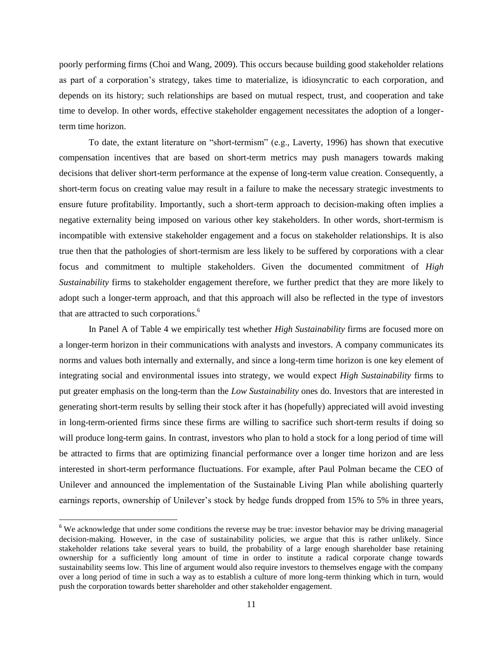poorly performing firms (Choi and Wang, 2009). This occurs because building good stakeholder relations as part of a corporation's strategy, takes time to materialize, is idiosyncratic to each corporation, and depends on its history; such relationships are based on mutual respect, trust, and cooperation and take time to develop. In other words, effective stakeholder engagement necessitates the adoption of a longerterm time horizon.

To date, the extant literature on "short-termism" (e.g., Laverty, 1996) has shown that executive compensation incentives that are based on short-term metrics may push managers towards making decisions that deliver short-term performance at the expense of long-term value creation. Consequently, a short-term focus on creating value may result in a failure to make the necessary strategic investments to ensure future profitability. Importantly, such a short-term approach to decision-making often implies a negative externality being imposed on various other key stakeholders. In other words, short-termism is incompatible with extensive stakeholder engagement and a focus on stakeholder relationships. It is also true then that the pathologies of short-termism are less likely to be suffered by corporations with a clear focus and commitment to multiple stakeholders. Given the documented commitment of *High Sustainability* firms to stakeholder engagement therefore, we further predict that they are more likely to adopt such a longer-term approach, and that this approach will also be reflected in the type of investors that are attracted to such corporations.<sup>6</sup>

In Panel A of Table 4 we empirically test whether *High Sustainability* firms are focused more on a longer-term horizon in their communications with analysts and investors. A company communicates its norms and values both internally and externally, and since a long-term time horizon is one key element of integrating social and environmental issues into strategy, we would expect *High Sustainability* firms to put greater emphasis on the long-term than the *Low Sustainability* ones do. Investors that are interested in generating short-term results by selling their stock after it has (hopefully) appreciated will avoid investing in long-term-oriented firms since these firms are willing to sacrifice such short-term results if doing so will produce long-term gains. In contrast, investors who plan to hold a stock for a long period of time will be attracted to firms that are optimizing financial performance over a longer time horizon and are less interested in short-term performance fluctuations. For example, after Paul Polman became the CEO of Unilever and announced the implementation of the Sustainable Living Plan while abolishing quarterly earnings reports, ownership of Unilever's stock by hedge funds dropped from 15% to 5% in three years,

 $\overline{\phantom{a}}$ 

<sup>&</sup>lt;sup>6</sup> We acknowledge that under some conditions the reverse may be true: investor behavior may be driving managerial decision-making. However, in the case of sustainability policies, we argue that this is rather unlikely. Since stakeholder relations take several years to build, the probability of a large enough shareholder base retaining ownership for a sufficiently long amount of time in order to institute a radical corporate change towards sustainability seems low. This line of argument would also require investors to themselves engage with the company over a long period of time in such a way as to establish a culture of more long-term thinking which in turn, would push the corporation towards better shareholder and other stakeholder engagement.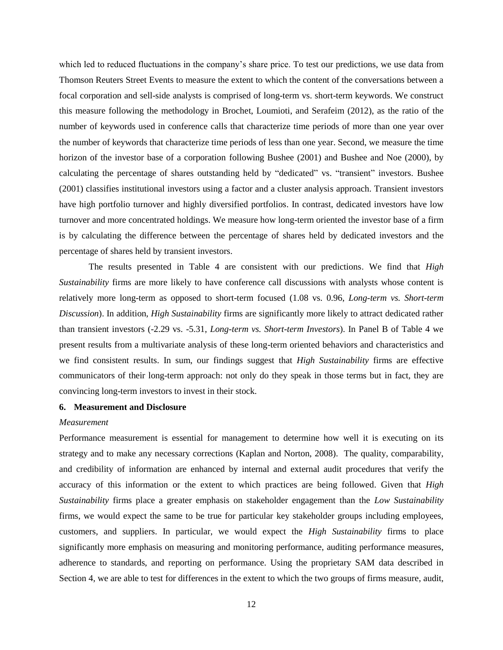which led to reduced fluctuations in the company's share price. To test our predictions, we use data from Thomson Reuters Street Events to measure the extent to which the content of the conversations between a focal corporation and sell-side analysts is comprised of long-term vs. short-term keywords. We construct this measure following the methodology in Brochet, Loumioti, and Serafeim (2012), as the ratio of the number of keywords used in conference calls that characterize time periods of more than one year over the number of keywords that characterize time periods of less than one year. Second, we measure the time horizon of the investor base of a corporation following Bushee (2001) and Bushee and Noe (2000), by calculating the percentage of shares outstanding held by "dedicated" vs. "transient" investors. Bushee (2001) classifies institutional investors using a factor and a cluster analysis approach. Transient investors have high portfolio turnover and highly diversified portfolios. In contrast, dedicated investors have low turnover and more concentrated holdings. We measure how long-term oriented the investor base of a firm is by calculating the difference between the percentage of shares held by dedicated investors and the percentage of shares held by transient investors.

The results presented in Table 4 are consistent with our predictions. We find that *High Sustainability* firms are more likely to have conference call discussions with analysts whose content is relatively more long-term as opposed to short-term focused (1.08 vs. 0.96, *Long-term vs. Short-term Discussion*). In addition, *High Sustainability* firms are significantly more likely to attract dedicated rather than transient investors (-2.29 vs. -5.31, *Long-term vs. Short-term Investors*). In Panel B of Table 4 we present results from a multivariate analysis of these long-term oriented behaviors and characteristics and we find consistent results. In sum, our findings suggest that *High Sustainability* firms are effective communicators of their long-term approach: not only do they speak in those terms but in fact, they are convincing long-term investors to invest in their stock.

#### **6. Measurement and Disclosure**

#### *Measurement*

Performance measurement is essential for management to determine how well it is executing on its strategy and to make any necessary corrections (Kaplan and Norton, 2008). The quality, comparability, and credibility of information are enhanced by internal and external audit procedures that verify the accuracy of this information or the extent to which practices are being followed. Given that *High Sustainability* firms place a greater emphasis on stakeholder engagement than the *Low Sustainability* firms, we would expect the same to be true for particular key stakeholder groups including employees, customers, and suppliers. In particular, we would expect the *High Sustainability* firms to place significantly more emphasis on measuring and monitoring performance, auditing performance measures, adherence to standards, and reporting on performance. Using the proprietary SAM data described in Section 4, we are able to test for differences in the extent to which the two groups of firms measure, audit,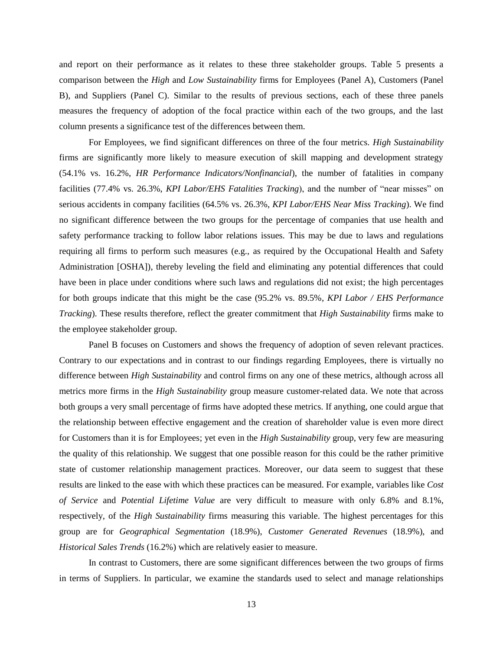and report on their performance as it relates to these three stakeholder groups. Table 5 presents a comparison between the *High* and *Low Sustainability* firms for Employees (Panel A), Customers (Panel B), and Suppliers (Panel C). Similar to the results of previous sections, each of these three panels measures the frequency of adoption of the focal practice within each of the two groups, and the last column presents a significance test of the differences between them.

For Employees, we find significant differences on three of the four metrics. *High Sustainability* firms are significantly more likely to measure execution of skill mapping and development strategy (54.1% vs. 16.2%, *HR Performance Indicators/Nonfinancial*), the number of fatalities in company facilities (77.4% vs. 26.3%, *KPI Labor/EHS Fatalities Tracking*), and the number of "near misses" on serious accidents in company facilities (64.5% vs. 26.3%, *KPI Labor/EHS Near Miss Tracking*). We find no significant difference between the two groups for the percentage of companies that use health and safety performance tracking to follow labor relations issues. This may be due to laws and regulations requiring all firms to perform such measures (e.g., as required by the Occupational Health and Safety Administration [OSHA]), thereby leveling the field and eliminating any potential differences that could have been in place under conditions where such laws and regulations did not exist; the high percentages for both groups indicate that this might be the case (95.2% vs. 89.5%, *KPI Labor / EHS Performance Tracking*). These results therefore, reflect the greater commitment that *High Sustainability* firms make to the employee stakeholder group.

Panel B focuses on Customers and shows the frequency of adoption of seven relevant practices. Contrary to our expectations and in contrast to our findings regarding Employees, there is virtually no difference between *High Sustainability* and control firms on any one of these metrics, although across all metrics more firms in the *High Sustainability* group measure customer-related data. We note that across both groups a very small percentage of firms have adopted these metrics. If anything, one could argue that the relationship between effective engagement and the creation of shareholder value is even more direct for Customers than it is for Employees; yet even in the *High Sustainability* group, very few are measuring the quality of this relationship. We suggest that one possible reason for this could be the rather primitive state of customer relationship management practices. Moreover, our data seem to suggest that these results are linked to the ease with which these practices can be measured. For example, variables like *Cost of Service* and *Potential Lifetime Value* are very difficult to measure with only 6.8% and 8.1%, respectively, of the *High Sustainability* firms measuring this variable. The highest percentages for this group are for *Geographical Segmentation* (18.9%), *Customer Generated Revenues* (18.9%), and *Historical Sales Trends* (16.2%) which are relatively easier to measure.

In contrast to Customers, there are some significant differences between the two groups of firms in terms of Suppliers. In particular, we examine the standards used to select and manage relationships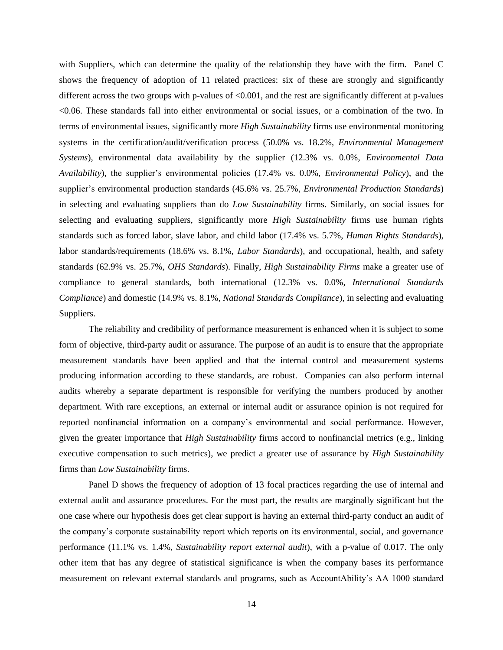with Suppliers, which can determine the quality of the relationship they have with the firm. Panel C shows the frequency of adoption of 11 related practices: six of these are strongly and significantly different across the two groups with p-values of  $\leq 0.001$ , and the rest are significantly different at p-values <0.06. These standards fall into either environmental or social issues, or a combination of the two. In terms of environmental issues, significantly more *High Sustainability* firms use environmental monitoring systems in the certification/audit/verification process (50.0% vs. 18.2%, *Environmental Management Systems*), environmental data availability by the supplier (12.3% vs. 0.0%, *Environmental Data Availability*), the supplier's environmental policies (17.4% vs. 0.0%, *Environmental Policy*), and the supplier's environmental production standards (45.6% vs. 25.7%, *Environmental Production Standards*) in selecting and evaluating suppliers than do *Low Sustainability* firms. Similarly, on social issues for selecting and evaluating suppliers, significantly more *High Sustainability* firms use human rights standards such as forced labor, slave labor, and child labor (17.4% vs. 5.7%, *Human Rights Standards*), labor standards/requirements (18.6% vs. 8.1%, *Labor Standards*), and occupational, health, and safety standards (62.9% vs. 25.7%, *OHS Standards*). Finally, *High Sustainability Firms* make a greater use of compliance to general standards, both international (12.3% vs. 0.0%, *International Standards Compliance*) and domestic (14.9% vs. 8.1%, *National Standards Compliance*), in selecting and evaluating Suppliers.

The reliability and credibility of performance measurement is enhanced when it is subject to some form of objective, third-party audit or assurance. The purpose of an audit is to ensure that the appropriate measurement standards have been applied and that the internal control and measurement systems producing information according to these standards, are robust. Companies can also perform internal audits whereby a separate department is responsible for verifying the numbers produced by another department. With rare exceptions, an external or internal audit or assurance opinion is not required for reported nonfinancial information on a company's environmental and social performance. However, given the greater importance that *High Sustainability* firms accord to nonfinancial metrics (e.g., linking executive compensation to such metrics), we predict a greater use of assurance by *High Sustainability*  firms than *Low Sustainability* firms.

Panel D shows the frequency of adoption of 13 focal practices regarding the use of internal and external audit and assurance procedures. For the most part, the results are marginally significant but the one case where our hypothesis does get clear support is having an external third-party conduct an audit of the company's corporate sustainability report which reports on its environmental, social, and governance performance (11.1% vs. 1.4%, *Sustainability report external audit*), with a p-value of 0.017. The only other item that has any degree of statistical significance is when the company bases its performance measurement on relevant external standards and programs, such as AccountAbility's AA 1000 standard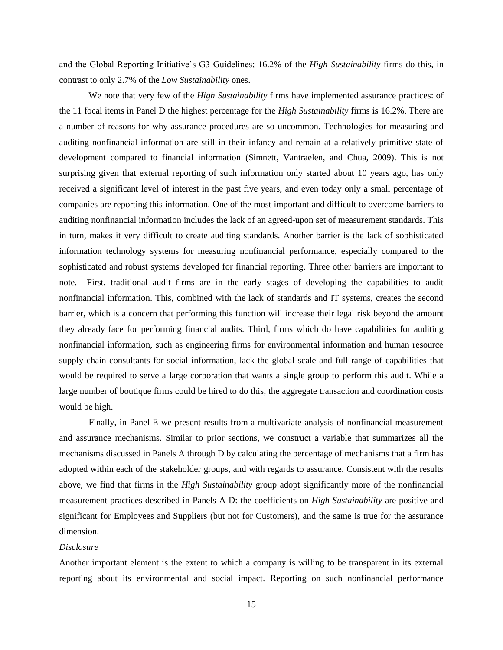and the Global Reporting Initiative's G3 Guidelines; 16.2% of the *High Sustainability* firms do this, in contrast to only 2.7% of the *Low Sustainability* ones.

We note that very few of the *High Sustainability* firms have implemented assurance practices: of the 11 focal items in Panel D the highest percentage for the *High Sustainability* firms is 16.2%. There are a number of reasons for why assurance procedures are so uncommon. Technologies for measuring and auditing nonfinancial information are still in their infancy and remain at a relatively primitive state of development compared to financial information (Simnett, Vantraelen, and Chua, 2009). This is not surprising given that external reporting of such information only started about 10 years ago, has only received a significant level of interest in the past five years, and even today only a small percentage of companies are reporting this information. One of the most important and difficult to overcome barriers to auditing nonfinancial information includes the lack of an agreed-upon set of measurement standards. This in turn, makes it very difficult to create auditing standards. Another barrier is the lack of sophisticated information technology systems for measuring nonfinancial performance, especially compared to the sophisticated and robust systems developed for financial reporting. Three other barriers are important to note. First, traditional audit firms are in the early stages of developing the capabilities to audit nonfinancial information. This, combined with the lack of standards and IT systems, creates the second barrier, which is a concern that performing this function will increase their legal risk beyond the amount they already face for performing financial audits. Third, firms which do have capabilities for auditing nonfinancial information, such as engineering firms for environmental information and human resource supply chain consultants for social information, lack the global scale and full range of capabilities that would be required to serve a large corporation that wants a single group to perform this audit. While a large number of boutique firms could be hired to do this, the aggregate transaction and coordination costs would be high.

Finally, in Panel E we present results from a multivariate analysis of nonfinancial measurement and assurance mechanisms. Similar to prior sections, we construct a variable that summarizes all the mechanisms discussed in Panels A through D by calculating the percentage of mechanisms that a firm has adopted within each of the stakeholder groups, and with regards to assurance. Consistent with the results above, we find that firms in the *High Sustainability* group adopt significantly more of the nonfinancial measurement practices described in Panels A-D: the coefficients on *High Sustainability* are positive and significant for Employees and Suppliers (but not for Customers), and the same is true for the assurance dimension.

#### *Disclosure*

Another important element is the extent to which a company is willing to be transparent in its external reporting about its environmental and social impact. Reporting on such nonfinancial performance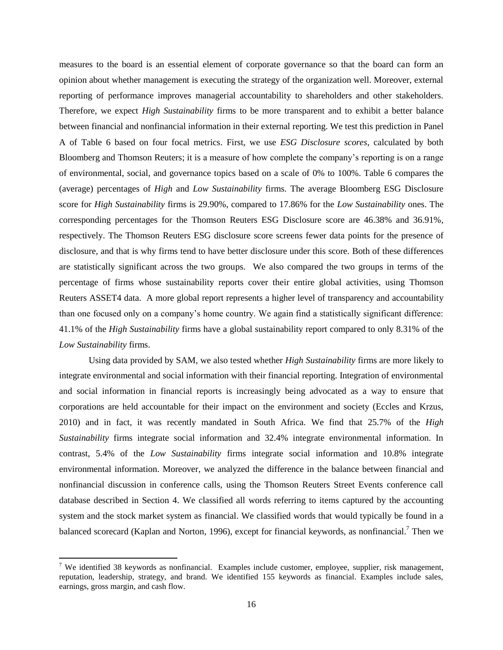measures to the board is an essential element of corporate governance so that the board can form an opinion about whether management is executing the strategy of the organization well. Moreover, external reporting of performance improves managerial accountability to shareholders and other stakeholders. Therefore, we expect *High Sustainability* firms to be more transparent and to exhibit a better balance between financial and nonfinancial information in their external reporting. We test this prediction in Panel A of Table 6 based on four focal metrics. First, we use *ESG Disclosure scores*, calculated by both Bloomberg and Thomson Reuters; it is a measure of how complete the company's reporting is on a range of environmental, social, and governance topics based on a scale of 0% to 100%. Table 6 compares the (average) percentages of *High* and *Low Sustainability* firms. The average Bloomberg ESG Disclosure score for *High Sustainability* firms is 29.90%, compared to 17.86% for the *Low Sustainability* ones. The corresponding percentages for the Thomson Reuters ESG Disclosure score are 46.38% and 36.91%, respectively. The Thomson Reuters ESG disclosure score screens fewer data points for the presence of disclosure, and that is why firms tend to have better disclosure under this score. Both of these differences are statistically significant across the two groups. We also compared the two groups in terms of the percentage of firms whose sustainability reports cover their entire global activities, using Thomson Reuters ASSET4 data. A more global report represents a higher level of transparency and accountability than one focused only on a company's home country. We again find a statistically significant difference: 41.1% of the *High Sustainability* firms have a global sustainability report compared to only 8.31% of the *Low Sustainability* firms.

Using data provided by SAM, we also tested whether *High Sustainability* firms are more likely to integrate environmental and social information with their financial reporting. Integration of environmental and social information in financial reports is increasingly being advocated as a way to ensure that corporations are held accountable for their impact on the environment and society (Eccles and Krzus, 2010) and in fact, it was recently mandated in South Africa. We find that 25.7% of the *High Sustainability* firms integrate social information and 32.4% integrate environmental information. In contrast, 5.4% of the *Low Sustainability* firms integrate social information and 10.8% integrate environmental information. Moreover, we analyzed the difference in the balance between financial and nonfinancial discussion in conference calls, using the Thomson Reuters Street Events conference call database described in Section 4. We classified all words referring to items captured by the accounting system and the stock market system as financial. We classified words that would typically be found in a balanced scorecard (Kaplan and Norton, 1996), except for financial keywords, as nonfinancial.<sup>7</sup> Then we

 $\overline{\phantom{a}}$ 

<sup>&</sup>lt;sup>7</sup> We identified 38 keywords as nonfinancial. Examples include customer, employee, supplier, risk management, reputation, leadership, strategy, and brand. We identified 155 keywords as financial. Examples include sales, earnings, gross margin, and cash flow.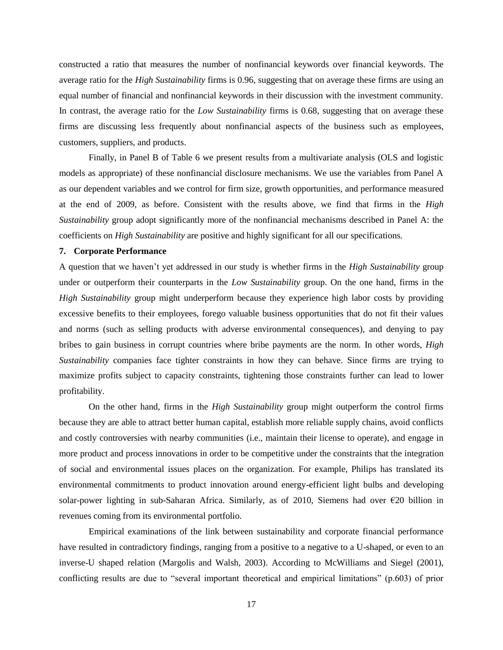constructed a ratio that measures the number of nonfinancial keywords over financial keywords. The average ratio for the *High Sustainability* firms is 0.96, suggesting that on average these firms are using an equal number of financial and nonfinancial keywords in their discussion with the investment community. In contrast, the average ratio for the *Low Sustainability* firms is 0.68, suggesting that on average these firms are discussing less frequently about nonfinancial aspects of the business such as employees, customers, suppliers, and products.

Finally, in Panel B of Table 6 we present results from a multivariate analysis (OLS and logistic models as appropriate) of these nonfinancial disclosure mechanisms. We use the variables from Panel A as our dependent variables and we control for firm size, growth opportunities, and performance measured at the end of 2009, as before. Consistent with the results above, we find that firms in the *High Sustainability* group adopt significantly more of the nonfinancial mechanisms described in Panel A: the coefficients on *High Sustainability* are positive and highly significant for all our specifications.

#### **7. Corporate Performance**

A question that we haven't yet addressed in our study is whether firms in the *High Sustainability* group under or outperform their counterparts in the *Low Sustainability* group. On the one hand, firms in the *High Sustainability* group might underperform because they experience high labor costs by providing excessive benefits to their employees, forego valuable business opportunities that do not fit their values and norms (such as selling products with adverse environmental consequences), and denying to pay bribes to gain business in corrupt countries where bribe payments are the norm. In other words, *High Sustainability* companies face tighter constraints in how they can behave. Since firms are trying to maximize profits subject to capacity constraints, tightening those constraints further can lead to lower profitability.

On the other hand, firms in the *High Sustainability* group might outperform the control firms because they are able to attract better human capital, establish more reliable supply chains, avoid conflicts and costly controversies with nearby communities (i.e., maintain their license to operate), and engage in more product and process innovations in order to be competitive under the constraints that the integration of social and environmental issues places on the organization. For example, Philips has translated its environmental commitments to product innovation around energy-efficient light bulbs and developing solar-power lighting in sub-Saharan Africa. Similarly, as of 2010, Siemens had over  $\epsilon$ 20 billion in revenues coming from its environmental portfolio.

Empirical examinations of the link between sustainability and corporate financial performance have resulted in contradictory findings, ranging from a positive to a negative to a U-shaped, or even to an inverse-U shaped relation (Margolis and Walsh, 2003). According to McWilliams and Siegel (2001), conflicting results are due to "several important theoretical and empirical limitations" (p.603) of prior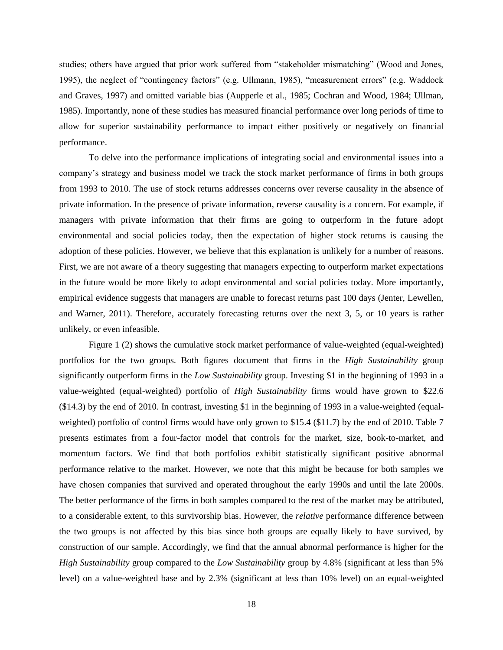studies; others have argued that prior work suffered from "stakeholder mismatching" (Wood and Jones, 1995), the neglect of "contingency factors" (e.g. Ullmann, 1985), "measurement errors" (e.g. Waddock and Graves, 1997) and omitted variable bias (Aupperle et al., 1985; Cochran and Wood, 1984; Ullman, 1985). Importantly, none of these studies has measured financial performance over long periods of time to allow for superior sustainability performance to impact either positively or negatively on financial performance.

To delve into the performance implications of integrating social and environmental issues into a company's strategy and business model we track the stock market performance of firms in both groups from 1993 to 2010. The use of stock returns addresses concerns over reverse causality in the absence of private information. In the presence of private information, reverse causality is a concern. For example, if managers with private information that their firms are going to outperform in the future adopt environmental and social policies today, then the expectation of higher stock returns is causing the adoption of these policies. However, we believe that this explanation is unlikely for a number of reasons. First, we are not aware of a theory suggesting that managers expecting to outperform market expectations in the future would be more likely to adopt environmental and social policies today. More importantly, empirical evidence suggests that managers are unable to forecast returns past 100 days (Jenter, Lewellen, and Warner, 2011). Therefore, accurately forecasting returns over the next 3, 5, or 10 years is rather unlikely, or even infeasible.

Figure 1 (2) shows the cumulative stock market performance of value-weighted (equal-weighted) portfolios for the two groups. Both figures document that firms in the *High Sustainability* group significantly outperform firms in the *Low Sustainability* group. Investing \$1 in the beginning of 1993 in a value-weighted (equal-weighted) portfolio of *High Sustainability* firms would have grown to \$22.6 (\$14.3) by the end of 2010. In contrast, investing \$1 in the beginning of 1993 in a value-weighted (equalweighted) portfolio of control firms would have only grown to \$15.4 (\$11.7) by the end of 2010. Table 7 presents estimates from a four-factor model that controls for the market, size, book-to-market, and momentum factors. We find that both portfolios exhibit statistically significant positive abnormal performance relative to the market. However, we note that this might be because for both samples we have chosen companies that survived and operated throughout the early 1990s and until the late 2000s. The better performance of the firms in both samples compared to the rest of the market may be attributed, to a considerable extent, to this survivorship bias. However, the *relative* performance difference between the two groups is not affected by this bias since both groups are equally likely to have survived, by construction of our sample. Accordingly, we find that the annual abnormal performance is higher for the *High Sustainability* group compared to the *Low Sustainability* group by 4.8% (significant at less than 5% level) on a value-weighted base and by 2.3% (significant at less than 10% level) on an equal-weighted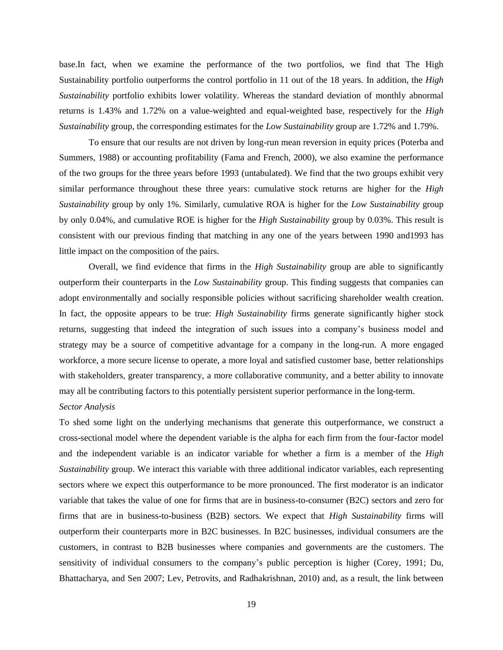base.In fact, when we examine the performance of the two portfolios, we find that The High Sustainability portfolio outperforms the control portfolio in 11 out of the 18 years. In addition, the *High Sustainability* portfolio exhibits lower volatility. Whereas the standard deviation of monthly abnormal returns is 1.43% and 1.72% on a value-weighted and equal-weighted base, respectively for the *High Sustainability* group, the corresponding estimates for the *Low Sustainability* group are 1.72% and 1.79%.

To ensure that our results are not driven by long-run mean reversion in equity prices (Poterba and Summers, 1988) or accounting profitability (Fama and French, 2000), we also examine the performance of the two groups for the three years before 1993 (untabulated). We find that the two groups exhibit very similar performance throughout these three years: cumulative stock returns are higher for the *High Sustainability* group by only 1%. Similarly, cumulative ROA is higher for the *Low Sustainability* group by only 0.04%, and cumulative ROE is higher for the *High Sustainability* group by 0.03%. This result is consistent with our previous finding that matching in any one of the years between 1990 and1993 has little impact on the composition of the pairs.

Overall, we find evidence that firms in the *High Sustainability* group are able to significantly outperform their counterparts in the *Low Sustainability* group. This finding suggests that companies can adopt environmentally and socially responsible policies without sacrificing shareholder wealth creation. In fact, the opposite appears to be true: *High Sustainability* firms generate significantly higher stock returns, suggesting that indeed the integration of such issues into a company's business model and strategy may be a source of competitive advantage for a company in the long-run. A more engaged workforce, a more secure license to operate, a more loyal and satisfied customer base, better relationships with stakeholders, greater transparency, a more collaborative community, and a better ability to innovate may all be contributing factors to this potentially persistent superior performance in the long-term.

#### *Sector Analysis*

To shed some light on the underlying mechanisms that generate this outperformance, we construct a cross-sectional model where the dependent variable is the alpha for each firm from the four-factor model and the independent variable is an indicator variable for whether a firm is a member of the *High Sustainability* group. We interact this variable with three additional indicator variables, each representing sectors where we expect this outperformance to be more pronounced. The first moderator is an indicator variable that takes the value of one for firms that are in business-to-consumer (B2C) sectors and zero for firms that are in business-to-business (B2B) sectors. We expect that *High Sustainability* firms will outperform their counterparts more in B2C businesses. In B2C businesses, individual consumers are the customers, in contrast to B2B businesses where companies and governments are the customers. The sensitivity of individual consumers to the company's public perception is higher (Corey, 1991; Du, Bhattacharya, and Sen 2007; Lev, Petrovits, and Radhakrishnan, 2010) and, as a result, the link between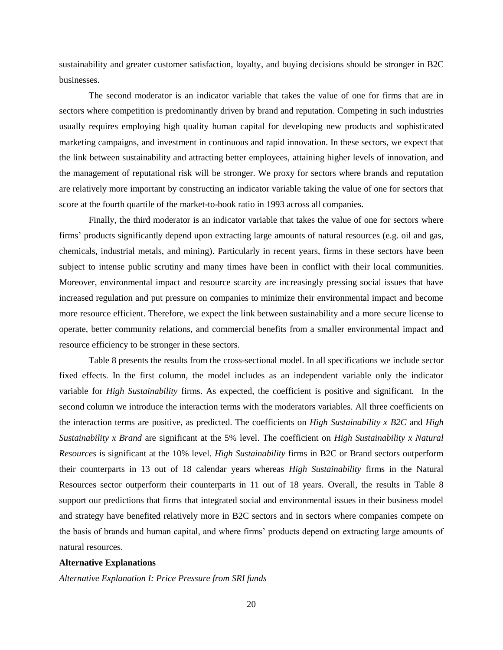sustainability and greater customer satisfaction, loyalty, and buying decisions should be stronger in B2C businesses.

The second moderator is an indicator variable that takes the value of one for firms that are in sectors where competition is predominantly driven by brand and reputation. Competing in such industries usually requires employing high quality human capital for developing new products and sophisticated marketing campaigns, and investment in continuous and rapid innovation. In these sectors, we expect that the link between sustainability and attracting better employees, attaining higher levels of innovation, and the management of reputational risk will be stronger. We proxy for sectors where brands and reputation are relatively more important by constructing an indicator variable taking the value of one for sectors that score at the fourth quartile of the market-to-book ratio in 1993 across all companies.

Finally, the third moderator is an indicator variable that takes the value of one for sectors where firms' products significantly depend upon extracting large amounts of natural resources (e.g. oil and gas, chemicals, industrial metals, and mining). Particularly in recent years, firms in these sectors have been subject to intense public scrutiny and many times have been in conflict with their local communities. Moreover, environmental impact and resource scarcity are increasingly pressing social issues that have increased regulation and put pressure on companies to minimize their environmental impact and become more resource efficient. Therefore, we expect the link between sustainability and a more secure license to operate, better community relations, and commercial benefits from a smaller environmental impact and resource efficiency to be stronger in these sectors.

Table 8 presents the results from the cross-sectional model. In all specifications we include sector fixed effects. In the first column, the model includes as an independent variable only the indicator variable for *High Sustainability* firms. As expected, the coefficient is positive and significant. In the second column we introduce the interaction terms with the moderators variables. All three coefficients on the interaction terms are positive, as predicted. The coefficients on *High Sustainability x B2C* and *High Sustainability x Brand* are significant at the 5% level. The coefficient on *High Sustainability x Natural Resources* is significant at the 10% level. *High Sustainability* firms in B2C or Brand sectors outperform their counterparts in 13 out of 18 calendar years whereas *High Sustainability* firms in the Natural Resources sector outperform their counterparts in 11 out of 18 years. Overall, the results in Table 8 support our predictions that firms that integrated social and environmental issues in their business model and strategy have benefited relatively more in B2C sectors and in sectors where companies compete on the basis of brands and human capital, and where firms' products depend on extracting large amounts of natural resources.

#### **Alternative Explanations**

*Alternative Explanation I: Price Pressure from SRI funds*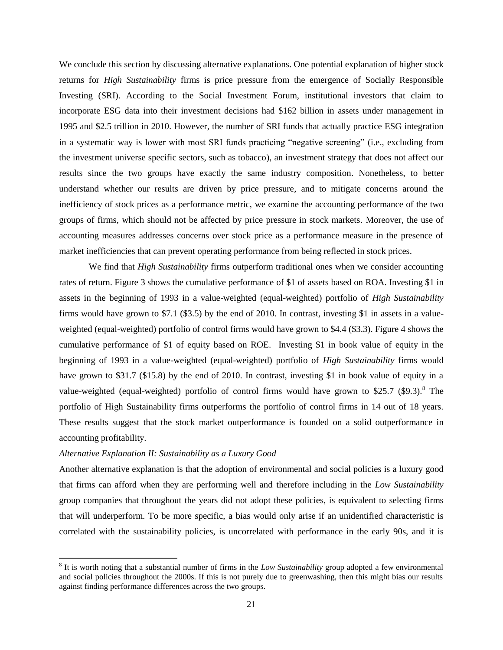We conclude this section by discussing alternative explanations. One potential explanation of higher stock returns for *High Sustainability* firms is price pressure from the emergence of Socially Responsible Investing (SRI). According to the Social Investment Forum, institutional investors that claim to incorporate ESG data into their investment decisions had \$162 billion in assets under management in 1995 and \$2.5 trillion in 2010. However, the number of SRI funds that actually practice ESG integration in a systematic way is lower with most SRI funds practicing "negative screening" (i.e., excluding from the investment universe specific sectors, such as tobacco), an investment strategy that does not affect our results since the two groups have exactly the same industry composition. Nonetheless, to better understand whether our results are driven by price pressure, and to mitigate concerns around the inefficiency of stock prices as a performance metric, we examine the accounting performance of the two groups of firms, which should not be affected by price pressure in stock markets. Moreover, the use of accounting measures addresses concerns over stock price as a performance measure in the presence of market inefficiencies that can prevent operating performance from being reflected in stock prices.

We find that *High Sustainability* firms outperform traditional ones when we consider accounting rates of return. Figure 3 shows the cumulative performance of \$1 of assets based on ROA. Investing \$1 in assets in the beginning of 1993 in a value-weighted (equal-weighted) portfolio of *High Sustainability* firms would have grown to \$7.1 (\$3.5) by the end of 2010. In contrast, investing \$1 in assets in a valueweighted (equal-weighted) portfolio of control firms would have grown to \$4.4 (\$3.3). Figure 4 shows the cumulative performance of \$1 of equity based on ROE. Investing \$1 in book value of equity in the beginning of 1993 in a value-weighted (equal-weighted) portfolio of *High Sustainability* firms would have grown to \$31.7 (\$15.8) by the end of 2010. In contrast, investing \$1 in book value of equity in a value-weighted (equal-weighted) portfolio of control firms would have grown to \$25.7 (\$9.3).<sup>8</sup> The portfolio of High Sustainability firms outperforms the portfolio of control firms in 14 out of 18 years. These results suggest that the stock market outperformance is founded on a solid outperformance in accounting profitability.

#### *Alternative Explanation II: Sustainability as a Luxury Good*

 $\overline{\phantom{a}}$ 

Another alternative explanation is that the adoption of environmental and social policies is a luxury good that firms can afford when they are performing well and therefore including in the *Low Sustainability*  group companies that throughout the years did not adopt these policies, is equivalent to selecting firms that will underperform. To be more specific, a bias would only arise if an unidentified characteristic is correlated with the sustainability policies, is uncorrelated with performance in the early 90s, and it is

<sup>8</sup> It is worth noting that a substantial number of firms in the *Low Sustainability* group adopted a few environmental and social policies throughout the 2000s. If this is not purely due to greenwashing, then this might bias our results against finding performance differences across the two groups.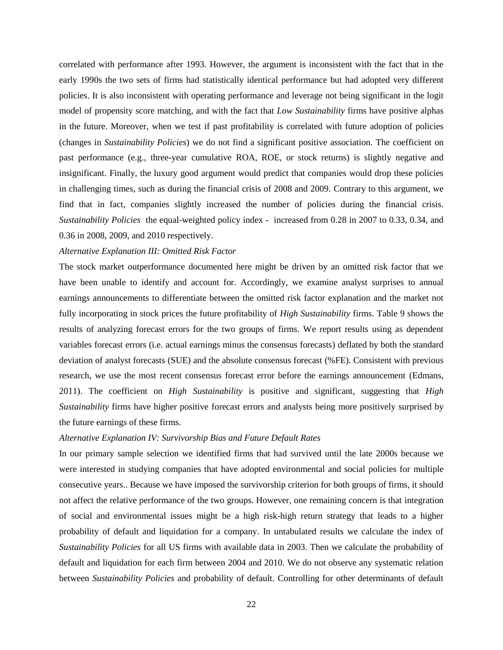correlated with performance after 1993. However, the argument is inconsistent with the fact that in the early 1990s the two sets of firms had statistically identical performance but had adopted very different policies. It is also inconsistent with operating performance and leverage not being significant in the logit model of propensity score matching, and with the fact that *Low Sustainability* firms have positive alphas in the future. Moreover, when we test if past profitability is correlated with future adoption of policies (changes in *Sustainability Policies*) we do not find a significant positive association. The coefficient on past performance (e.g., three-year cumulative ROA, ROE, or stock returns) is slightly negative and insignificant. Finally, the luxury good argument would predict that companies would drop these policies in challenging times, such as during the financial crisis of 2008 and 2009. Contrary to this argument, we find that in fact, companies slightly increased the number of policies during the financial crisis. *Sustainability Policies* the equal-weighted policy index - increased from 0.28 in 2007 to 0.33, 0.34, and 0.36 in 2008, 2009, and 2010 respectively.

#### *Alternative Explanation III: Omitted Risk Factor*

The stock market outperformance documented here might be driven by an omitted risk factor that we have been unable to identify and account for. Accordingly, we examine analyst surprises to annual earnings announcements to differentiate between the omitted risk factor explanation and the market not fully incorporating in stock prices the future profitability of *High Sustainability* firms. Table 9 shows the results of analyzing forecast errors for the two groups of firms. We report results using as dependent variables forecast errors (i.e. actual earnings minus the consensus forecasts) deflated by both the standard deviation of analyst forecasts (SUE) and the absolute consensus forecast (%FE). Consistent with previous research, we use the most recent consensus forecast error before the earnings announcement (Edmans, 2011). The coefficient on *High Sustainability* is positive and significant, suggesting that *High Sustainability* firms have higher positive forecast errors and analysts being more positively surprised by the future earnings of these firms.

#### *Alternative Explanation IV: Survivorship Bias and Future Default Rates*

In our primary sample selection we identified firms that had survived until the late 2000s because we were interested in studying companies that have adopted environmental and social policies for multiple consecutive years.. Because we have imposed the survivorship criterion for both groups of firms, it should not affect the relative performance of the two groups. However, one remaining concern is that integration of social and environmental issues might be a high risk-high return strategy that leads to a higher probability of default and liquidation for a company. In untabulated results we calculate the index of *Sustainability Policies* for all US firms with available data in 2003. Then we calculate the probability of default and liquidation for each firm between 2004 and 2010. We do not observe any systematic relation between *Sustainability Policies* and probability of default. Controlling for other determinants of default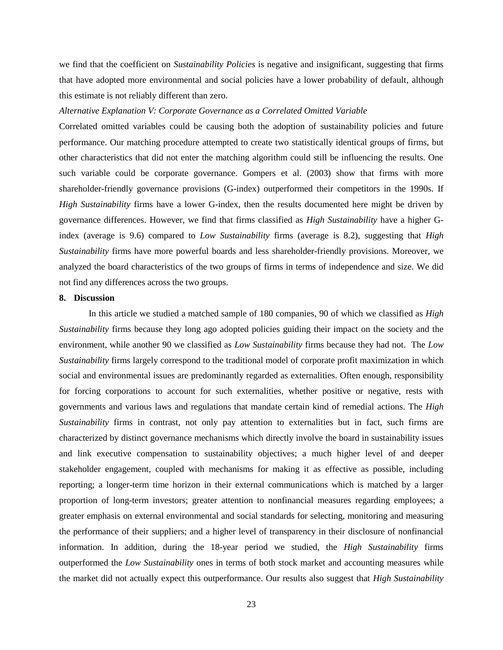we find that the coefficient on *Sustainability Policies* is negative and insignificant, suggesting that firms that have adopted more environmental and social policies have a lower probability of default, although this estimate is not reliably different than zero.

#### *Alternative Explanation V: Corporate Governance as a Correlated Omitted Variable*

Correlated omitted variables could be causing both the adoption of sustainability policies and future performance. Our matching procedure attempted to create two statistically identical groups of firms, but other characteristics that did not enter the matching algorithm could still be influencing the results. One such variable could be corporate governance. Gompers et al. (2003) show that firms with more shareholder-friendly governance provisions (G-index) outperformed their competitors in the 1990s. If *High Sustainability* firms have a lower G-index, then the results documented here might be driven by governance differences. However, we find that firms classified as *High Sustainability* have a higher Gindex (average is 9.6) compared to *Low Sustainability* firms (average is 8.2), suggesting that *High Sustainability* firms have more powerful boards and less shareholder-friendly provisions. Moreover, we analyzed the board characteristics of the two groups of firms in terms of independence and size. We did not find any differences across the two groups.

#### **8. Discussion**

In this article we studied a matched sample of 180 companies, 90 of which we classified as *High Sustainability* firms because they long ago adopted policies guiding their impact on the society and the environment, while another 90 we classified as *Low Sustainability* firms because they had not. The *Low Sustainability* firms largely correspond to the traditional model of corporate profit maximization in which social and environmental issues are predominantly regarded as externalities. Often enough, responsibility for forcing corporations to account for such externalities, whether positive or negative, rests with governments and various laws and regulations that mandate certain kind of remedial actions. The *High Sustainability* firms in contrast, not only pay attention to externalities but in fact, such firms are characterized by distinct governance mechanisms which directly involve the board in sustainability issues and link executive compensation to sustainability objectives; a much higher level of and deeper stakeholder engagement, coupled with mechanisms for making it as effective as possible, including reporting; a longer-term time horizon in their external communications which is matched by a larger proportion of long-term investors; greater attention to nonfinancial measures regarding employees; a greater emphasis on external environmental and social standards for selecting, monitoring and measuring the performance of their suppliers; and a higher level of transparency in their disclosure of nonfinancial information. In addition, during the 18-year period we studied, the *High Sustainability* firms outperformed the *Low Sustainability* ones in terms of both stock market and accounting measures while the market did not actually expect this outperformance. Our results also suggest that *High Sustainability*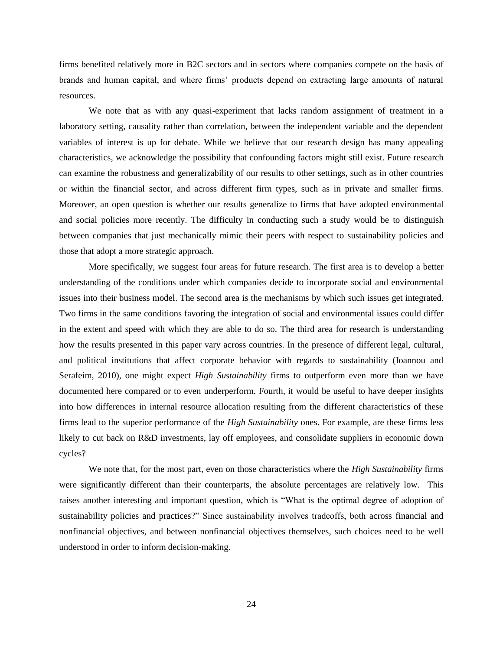firms benefited relatively more in B2C sectors and in sectors where companies compete on the basis of brands and human capital, and where firms' products depend on extracting large amounts of natural resources.

We note that as with any quasi-experiment that lacks random assignment of treatment in a laboratory setting, causality rather than correlation, between the independent variable and the dependent variables of interest is up for debate. While we believe that our research design has many appealing characteristics, we acknowledge the possibility that confounding factors might still exist. Future research can examine the robustness and generalizability of our results to other settings, such as in other countries or within the financial sector, and across different firm types, such as in private and smaller firms. Moreover, an open question is whether our results generalize to firms that have adopted environmental and social policies more recently. The difficulty in conducting such a study would be to distinguish between companies that just mechanically mimic their peers with respect to sustainability policies and those that adopt a more strategic approach.

More specifically, we suggest four areas for future research. The first area is to develop a better understanding of the conditions under which companies decide to incorporate social and environmental issues into their business model. The second area is the mechanisms by which such issues get integrated. Two firms in the same conditions favoring the integration of social and environmental issues could differ in the extent and speed with which they are able to do so. The third area for research is understanding how the results presented in this paper vary across countries. In the presence of different legal, cultural, and political institutions that affect corporate behavior with regards to sustainability (Ioannou and Serafeim, 2010), one might expect *High Sustainability* firms to outperform even more than we have documented here compared or to even underperform. Fourth, it would be useful to have deeper insights into how differences in internal resource allocation resulting from the different characteristics of these firms lead to the superior performance of the *High Sustainability* ones. For example, are these firms less likely to cut back on R&D investments, lay off employees, and consolidate suppliers in economic down cycles?

We note that, for the most part, even on those characteristics where the *High Sustainability* firms were significantly different than their counterparts, the absolute percentages are relatively low. This raises another interesting and important question, which is "What is the optimal degree of adoption of sustainability policies and practices?" Since sustainability involves tradeoffs, both across financial and nonfinancial objectives, and between nonfinancial objectives themselves, such choices need to be well understood in order to inform decision-making.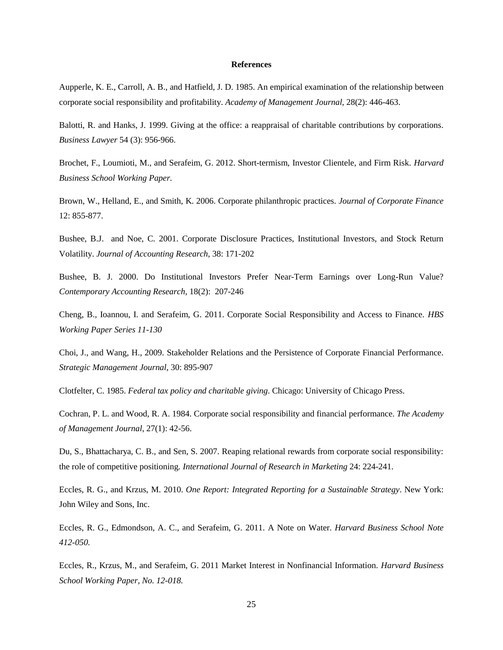#### **References**

Aupperle, K. E., Carroll, A. B., and Hatfield, J. D. 1985. An empirical examination of the relationship between corporate social responsibility and profitability. *Academy of Management Journal*, 28(2): 446-463.

Balotti, R. and Hanks, J. 1999. Giving at the office: a reappraisal of charitable contributions by corporations. *Business Lawyer* 54 (3): 956-966.

Brochet, F., Loumioti, M., and Serafeim, G. 2012. Short-termism, Investor Clientele, and Firm Risk. *Harvard Business School Working Paper.*

Brown, W., Helland, E., and Smith, K. 2006. Corporate philanthropic practices. *Journal of Corporate Finance*  12: 855-877.

Bushee, B.J. and Noe, C. 2001. Corporate Disclosure Practices, Institutional Investors, and Stock Return Volatility. *Journal of Accounting Research*, 38: 171-202

Bushee, B. J. 2000. Do Institutional Investors Prefer Near-Term Earnings over Long-Run Value? *Contemporary Accounting Research*, 18(2): 207-246

Cheng, B., Ioannou, I. and Serafeim, G. 2011. Corporate Social Responsibility and Access to Finance. *HBS Working Paper Series 11-130*

Choi, J., and Wang, H., 2009. Stakeholder Relations and the Persistence of Corporate Financial Performance. *Strategic Management Journal*, 30: 895-907

Clotfelter, C. 1985. *Federal tax policy and charitable giving*. Chicago: University of Chicago Press.

Cochran, P. L. and Wood, R. A. 1984. Corporate social responsibility and financial performance. *The Academy of Management Journal*, 27(1): 42-56.

Du, S., Bhattacharya, C. B., and Sen, S. 2007. Reaping relational rewards from corporate social responsibility: the role of competitive positioning*. International Journal of Research in Marketing* 24: 224-241.

Eccles, R. G., and Krzus, M. 2010. *One Report: Integrated Reporting for a Sustainable Strategy*. New York: John Wiley and Sons, Inc.

Eccles, R. G., Edmondson, A. C., and Serafeim, G. 2011. A Note on Water. *Harvard Business School Note 412-050.*

Eccles, R., Krzus, M., and Serafeim, G. 2011 Market Interest in Nonfinancial Information. *Harvard Business School Working Paper, No. 12-018.*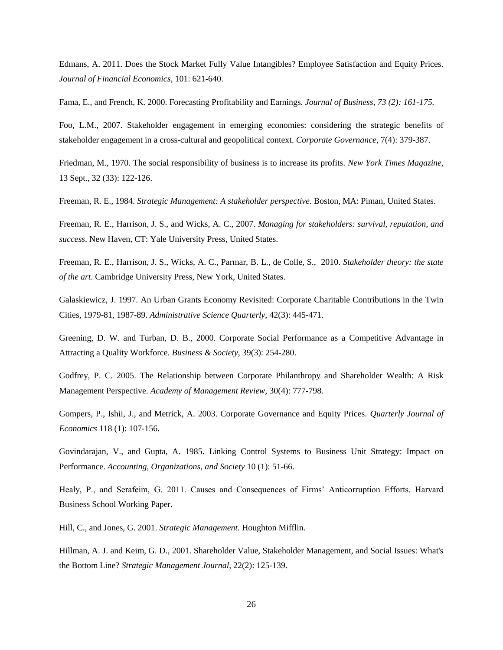Edmans, A. 2011. Does the Stock Market Fully Value Intangibles? Employee Satisfaction and Equity Prices. *Journal of Financial Economics*, 101: 621-640.

Fama, E., and French, K. 2000. Forecasting Profitability and Earnings*. Journal of Business, 73 (2): 161-175.*

Foo, L.M., 2007. Stakeholder engagement in emerging economies: considering the strategic benefits of stakeholder engagement in a cross-cultural and geopolitical context. *Corporate Governance*, 7(4): 379-387.

Friedman, M., 1970. The social responsibility of business is to increase its profits. *New York Times Magazine*, 13 Sept., 32 (33): 122-126.

Freeman, R. E., 1984. *Strategic Management: A stakeholder perspective*. Boston, MA: Piman, United States.

Freeman, R. E., Harrison, J. S., and Wicks, A. C., 2007. *Managing for stakeholders: survival, reputation, and success*. New Haven, CT: Yale University Press, United States.

Freeman, R. E., Harrison, J. S., Wicks, A. C., Parmar, B. L., de Colle, S., 2010. *Stakeholder theory: the state of the art*. Cambridge University Press, New York, United States.

Galaskiewicz, J. 1997. An Urban Grants Economy Revisited: Corporate Charitable Contributions in the Twin Cities, 1979-81, 1987-89. *Administrative Science Quarterly*, 42(3): 445-471.

Greening, D. W. and Turban, D. B., 2000. Corporate Social Performance as a Competitive Advantage in Attracting a Quality Workforce. *Business & Society*, 39(3): 254-280.

Godfrey, P. C. 2005. The Relationship between Corporate Philanthropy and Shareholder Wealth: A Risk Management Perspective. *Academy of Management Review*, 30(4): 777-798.

Gompers, P., Ishii, J., and Metrick, A. 2003. Corporate Governance and Equity Prices. *Quarterly Journal of Economics* 118 (1): 107-156.

Govindarajan, V., and Gupta, A. 1985. Linking Control Systems to Business Unit Strategy: Impact on Performance. *Accounting, Organizations, and Society* 10 (1): 51-66.

Healy, P., and Serafeim, G. 2011. Causes and Consequences of Firms' Anticorruption Efforts. Harvard Business School Working Paper.

Hill, C., and Jones, G. 2001. *Strategic Management*. Houghton Mifflin.

Hillman, A. J. and Keim, G. D., 2001. Shareholder Value, Stakeholder Management, and Social Issues: What's the Bottom Line? *Strategic Management Journal*, 22(2): 125-139.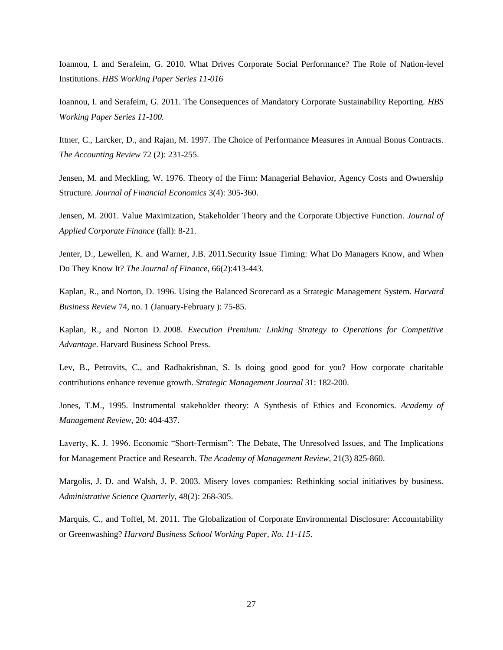Ioannou, I. and Serafeim, G. 2010. What Drives Corporate Social Performance? The Role of Nation-level Institutions. *HBS Working Paper Series 11-016*

Ioannou, I. and Serafeim, G. 2011. The Consequences of Mandatory Corporate Sustainability Reporting. *HBS Working Paper Series 11-100.*

Ittner, C., Larcker, D., and Rajan, M. 1997. The Choice of Performance Measures in Annual Bonus Contracts. *The Accounting Review* 72 (2): 231-255.

Jensen, M. and Meckling, W. 1976. Theory of the Firm: Managerial Behavior, Agency Costs and Ownership Structure. *Journal of Financial Economics* 3(4): 305-360.

Jensen, M. 2001. Value Maximization, Stakeholder Theory and the Corporate Objective Function. *Journal of Applied Corporate Finance* (fall): 8-21.

Jenter, D., Lewellen, K. and Warner, J.B. 2011.Security Issue Timing: What Do Managers Know, and When Do They Know It? *The Journal of Finance*, 66(2):413-443.

Kaplan, R., and Norton, D. 1996. Using the Balanced Scorecard as a Strategic Management System. *Harvard Business Review* 74, no. 1 (January-February ): 75-85.

Kaplan, R., and Norton D. 2008. *Execution Premium: Linking Strategy to Operations for Competitive Advantage*. Harvard Business School Press.

Lev, B., Petrovits, C., and Radhakrishnan, S. Is doing good good for you? How corporate charitable contributions enhance revenue growth. *Strategic Management Journal* 31: 182-200.

Jones, T.M., 1995. Instrumental stakeholder theory: A Synthesis of Ethics and Economics. *Academy of Management Review,* 20: 404-437.

Laverty, K. J. 1996. Economic "Short-Termism": The Debate, The Unresolved Issues, and The Implications for Management Practice and Research. *The Academy of Management Review*, 21(3) 825-860.

Margolis, J. D. and Walsh, J. P. 2003. Misery loves companies: Rethinking social initiatives by business. *Administrative Science Quarterly*, 48(2): 268-305.

Marquis, C., and Toffel, M. 2011. The Globalization of Corporate Environmental Disclosure: Accountability or Greenwashing? *Harvard Business School Working Paper, No. 11-115*.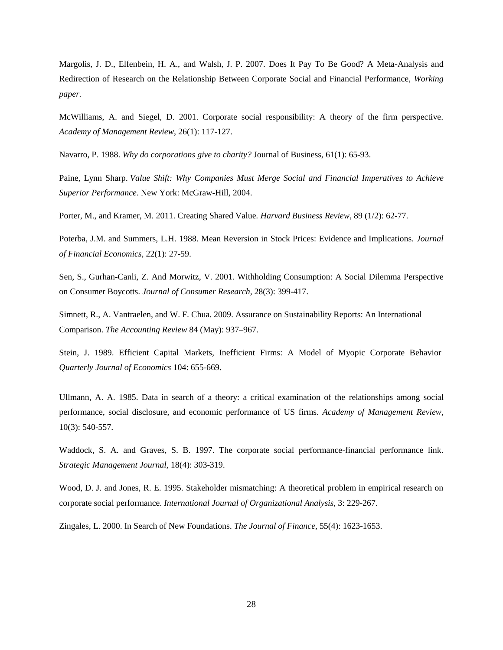Margolis, J. D., Elfenbein, H. A., and Walsh, J. P. 2007. Does It Pay To Be Good? A Meta-Analysis and Redirection of Research on the Relationship Between Corporate Social and Financial Performance, *Working paper.*

McWilliams, A. and Siegel, D. 2001. Corporate social responsibility: A theory of the firm perspective. *Academy of Management Review*, 26(1): 117-127.

Navarro, P. 1988. *Why do corporations give to charity?* Journal of Business, 61(1): 65-93.

Paine, Lynn Sharp. *Value Shift: Why Companies Must Merge Social and Financial Imperatives to Achieve Superior Performance*. New York: McGraw-Hill, 2004.

Porter, M., and Kramer, M. 2011. Creating Shared Value. *Harvard Business Review*, 89 (1/2): 62-77.

Poterba, J.M. and Summers, L.H. 1988. Mean Reversion in Stock Prices: Evidence and Implications. *Journal of Financial Economics*, 22(1): 27-59.

Sen, S., Gurhan-Canli, Z. And Morwitz, V. 2001. Withholding Consumption: A Social Dilemma Perspective on Consumer Boycotts. *Journal of Consumer Research,* 28(3): 399-417.

Simnett, R., A. Vantraelen, and W. F. Chua. 2009. Assurance on Sustainability Reports: An International Comparison. *The Accounting Review* 84 (May): 937–967.

Stein, J. 1989. Efficient Capital Markets, Inefficient Firms: A Model of Myopic Corporate Behavior *Quarterly Journal of Economics* 104: 655-669.

Ullmann, A. A. 1985. Data in search of a theory: a critical examination of the relationships among social performance, social disclosure, and economic performance of US firms. *Academy of Management Review*, 10(3): 540-557.

Waddock, S. A. and Graves, S. B. 1997. The corporate social performance-financial performance link. *Strategic Management Journal*, 18(4): 303-319.

Wood, D. J. and Jones, R. E. 1995. Stakeholder mismatching: A theoretical problem in empirical research on corporate social performance. *International Journal of Organizational Analysis*, 3: 229-267.

Zingales, L. 2000. In Search of New Foundations. *The Journal of Finance*, 55(4): 1623-1653.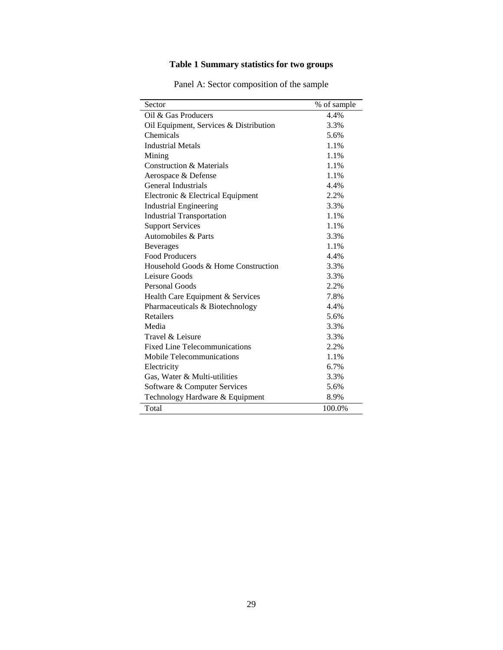## **Table 1 Summary statistics for two groups**

| Sector                                 | % of sample |
|----------------------------------------|-------------|
| Oil & Gas Producers                    | 4.4%        |
| Oil Equipment, Services & Distribution | 3.3%        |
| Chemicals                              | 5.6%        |
| <b>Industrial Metals</b>               | 1.1%        |
| Mining                                 | 1.1%        |
| Construction & Materials               | 1.1%        |
| Aerospace & Defense                    | 1.1%        |
| <b>General Industrials</b>             | 4.4%        |
| Electronic & Electrical Equipment      | 2.2%        |
| <b>Industrial Engineering</b>          | 3.3%        |
| <b>Industrial Transportation</b>       | 1.1%        |
| <b>Support Services</b>                | 1.1%        |
| Automobiles & Parts                    | 3.3%        |
| <b>Beverages</b>                       | 1.1%        |
| <b>Food Producers</b>                  | 4.4%        |
| Household Goods & Home Construction    | 3.3%        |
| Leisure Goods                          | 3.3%        |
| Personal Goods                         | 2.2%        |
| Health Care Equipment & Services       | 7.8%        |
| Pharmaceuticals & Biotechnology        | 4.4%        |
| Retailers                              | 5.6%        |
| Media                                  | 3.3%        |
| Travel & Leisure                       | 3.3%        |
| <b>Fixed Line Telecommunications</b>   | 2.2%        |
| Mobile Telecommunications              | 1.1%        |
| Electricity                            | 6.7%        |
| Gas, Water & Multi-utilities           | 3.3%        |
| Software & Computer Services           | 5.6%        |
| Technology Hardware & Equipment        | 8.9%        |
| Total                                  | 100.0%      |

Panel A: Sector composition of the sample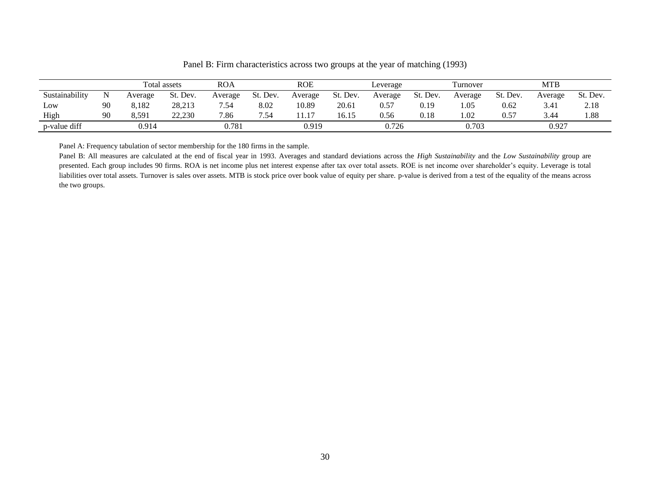|                |    |         | Total assets | <b>ROA</b> |          | <b>ROE</b> |          | Leverage |          | Turnover |          | <b>MTB</b> |          |
|----------------|----|---------|--------------|------------|----------|------------|----------|----------|----------|----------|----------|------------|----------|
| Sustainability |    | Average | St. Dev.     | Average    | St. Dev. | Average    | St. Dev. | Average  | St. Dev. | Average  | St. Dev. | Average    | St. Dev. |
| LOW            | 90 | 8,182   | 28,213       | 7.54       | 8.02     | 10.89      | 20.61    | 0.57     | 0.19     | 1.05     | 0.62     | 3.41       | 2.18     |
| High           | 90 | 8.591   | 22,230       | 7.86       | 7.54     | . 1.17     | 16.15    | 0.56     | 0.18     | 1.02     | 0.57     | 3.44       | 1.88     |
| p-value diff   |    | 0.914   |              | 0.781      |          | 0.919      |          | 0.726    |          | 0.703    |          | 0.927      |          |

Panel B: Firm characteristics across two groups at the year of matching (1993)

Panel A: Frequency tabulation of sector membership for the 180 firms in the sample.

Panel B: All measures are calculated at the end of fiscal year in 1993. Averages and standard deviations across the *High Sustainability* and the *Low Sustainability* group are presented. Each group includes 90 firms. ROA is net income plus net interest expense after tax over total assets. ROE is net income over shareholder's equity. Leverage is total liabilities over total assets. Turnover is sales over assets. MTB is stock price over book value of equity per share. p-value is derived from a test of the equality of the means across the two groups.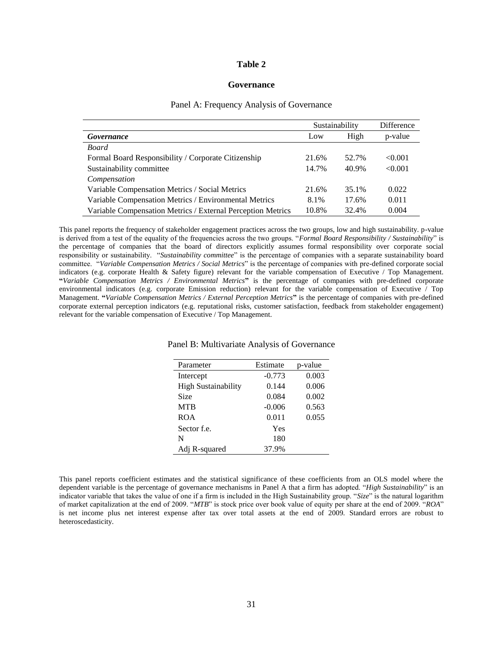#### **Table 2**

#### **Governance**

#### Panel A: Frequency Analysis of Governance

| Sustainability                                              |       |       | Difference |
|-------------------------------------------------------------|-------|-------|------------|
| Governance                                                  | Low   | High  | p-value    |
| <b>Board</b>                                                |       |       |            |
| Formal Board Responsibility / Corporate Citizenship         | 21.6% | 52.7% | < 0.001    |
| Sustainability committee                                    | 14.7% | 40.9% | < 0.001    |
| Compensation                                                |       |       |            |
| Variable Compensation Metrics / Social Metrics              | 21.6% | 35.1% | 0.022      |
| Variable Compensation Metrics / Environmental Metrics       | 8.1%  | 17.6% | 0.011      |
| Variable Compensation Metrics / External Perception Metrics | 10.8% | 32.4% | 0.004      |

This panel reports the frequency of stakeholder engagement practices across the two groups, low and high sustainability. p-value is derived from a test of the equality of the frequencies across the two groups. "*Formal Board Responsibility / Sustainability*" is the percentage of companies that the board of directors explicitly assumes formal responsibility over corporate social responsibility or sustainability. "Sustainability committee" is the percentage of companies with a separate sustainability board committee. "Variable Compensation Metrics / Social Metrics" is the percentage of companies with pre-defined corporate social indicators (e.g. corporate Health & Safety figure) relevant for the variable compensation of Executive / Top Management. **"***Variable Compensation Metrics / Environmental Metrics***"** is the percentage of companies with pre-defined corporate environmental indicators (e.g. corporate Emission reduction) relevant for the variable compensation of Executive  $\gamma$  Top Management. **"***Variable Compensation Metrics / External Perception Metrics***"** is the percentage of companies with pre-defined corporate external perception indicators (e.g. reputational risks, customer satisfaction, feedback from stakeholder engagement) relevant for the variable compensation of Executive / Top Management.

| Parameter                  | Estimate | p-value |
|----------------------------|----------|---------|
| Intercept                  | $-0.773$ | 0.003   |
| <b>High Sustainability</b> | 0.144    | 0.006   |
| Size                       | 0.084    | 0.002   |
| <b>MTB</b>                 | $-0.006$ | 0.563   |
| <b>ROA</b>                 | 0.011    | 0.055   |
| Sector f.e.                | Yes      |         |
| N                          | 180      |         |
| Adj R-squared              | 37.9%    |         |

#### Panel B: Multivariate Analysis of Governance

This panel reports coefficient estimates and the statistical significance of these coefficients from an OLS model where the dependent variable is the percentage of governance mechanisms in Panel A that a firm has adopted. "*High Sustainability*" is an indicator variable that takes the value of one if a firm is included in the High Sustainability group. "Size" is the natural logarithm of market capitalization at the end of 2009. "*MTB*" is stock price over book value of equity per share at the end of 2009. "*ROA*" is net income plus net interest expense after tax over total assets at the end of 2009. Standard errors are robust to heteroscedasticity.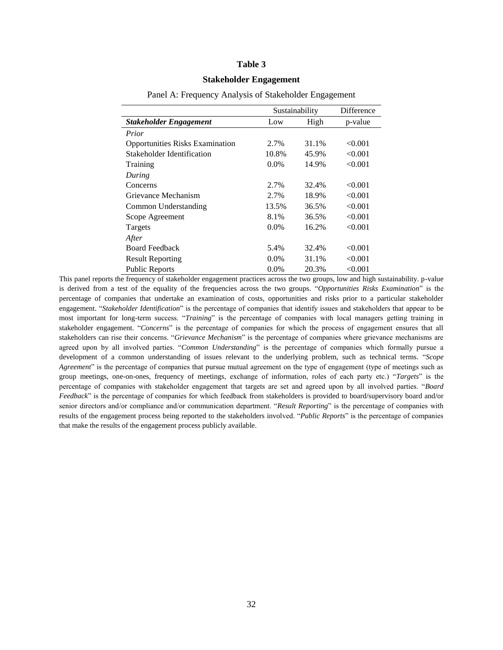#### **Table 3**

#### **Stakeholder Engagement**

|                                        | Sustainability |       | Difference |
|----------------------------------------|----------------|-------|------------|
| <b>Stakeholder Engagement</b>          | Low            | High  | p-value    |
| Prior                                  |                |       |            |
| <b>Opportunities Risks Examination</b> | 2.7%           | 31.1% | < 0.001    |
| Stakeholder Identification             | 10.8%          | 45.9% | < 0.001    |
| Training                               | $0.0\%$        | 14.9% | < 0.001    |
| During                                 |                |       |            |
| Concerns                               | 2.7%           | 32.4% | < 0.001    |
| Grievance Mechanism                    | 2.7%           | 18.9% | < 0.001    |
| Common Understanding                   | 13.5%          | 36.5% | < 0.001    |
| Scope Agreement                        | 8.1%           | 36.5% | < 0.001    |
| Targets                                | 0.0%           | 16.2% | < 0.001    |
| After                                  |                |       |            |
| <b>Board Feedback</b>                  | 5.4%           | 32.4% | < 0.001    |
| <b>Result Reporting</b>                | $0.0\%$        | 31.1% | < 0.001    |
| <b>Public Reports</b>                  | $0.0\%$        | 20.3% | < 0.001    |

Panel A: Frequency Analysis of Stakeholder Engagement

This panel reports the frequency of stakeholder engagement practices across the two groups, low and high sustainability. p-value is derived from a test of the equality of the frequencies across the two groups. "Opportunities Risks Examination" is the percentage of companies that undertake an examination of costs, opportunities and risks prior to a particular stakeholder engagement. "*Stakeholder Identification*" is the percentage of companies that identify issues and stakeholders that appear to be most important for long-term success. "*Training*" is the percentage of companies with local managers getting training in stakeholder engagement. "Concerns" is the percentage of companies for which the process of engagement ensures that all stakeholders can rise their concerns. "Grievance Mechanism" is the percentage of companies where grievance mechanisms are agreed upon by all involved parties. "Common Understanding" is the percentage of companies which formally pursue a development of a common understanding of issues relevant to the underlying problem, such as technical terms. "*Scope Agreement*" is the percentage of companies that pursue mutual agreement on the type of engagement (type of meetings such as group meetings, one-on-ones, frequency of meetings, exchange of information, roles of each party etc.) "*Targets*" is the percentage of companies with stakeholder engagement that targets are set and agreed upon by all involved parties. ―*Board Feedback*‖ is the percentage of companies for which feedback from stakeholders is provided to board/supervisory board and/or senior directors and/or compliance and/or communication department. "Result Reporting" is the percentage of companies with results of the engagement process being reported to the stakeholders involved. "*Public Reports*" is the percentage of companies that make the results of the engagement process publicly available.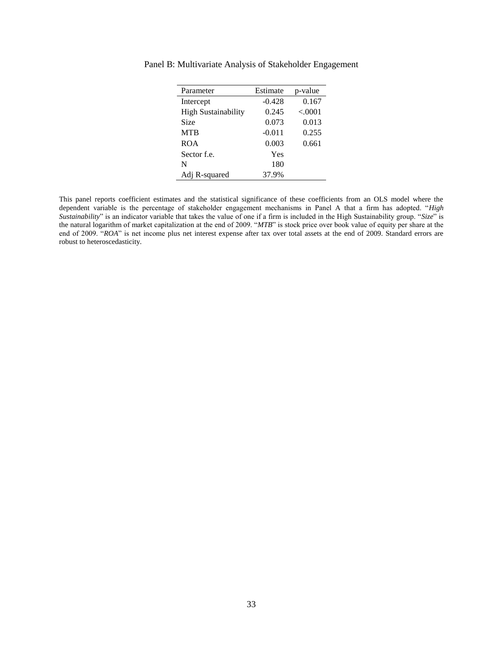| Parameter                  | Estimate | p-value |
|----------------------------|----------|---------|
| Intercept                  | $-0.428$ | 0.167   |
| <b>High Sustainability</b> | 0.245    | < .0001 |
| Size                       | 0.073    | 0.013   |
| <b>MTR</b>                 | $-0.011$ | 0.255   |
| <b>ROA</b>                 | 0.003    | 0.661   |
| Sector f.e.                | Yes      |         |
| N                          | 180      |         |
| Adj R-squared              | 37.9%    |         |

Panel B: Multivariate Analysis of Stakeholder Engagement

This panel reports coefficient estimates and the statistical significance of these coefficients from an OLS model where the dependent variable is the percentage of stakeholder engagement mechanisms in Panel A that a firm has adopted. "High *Sustainability*" is an indicator variable that takes the value of one if a firm is included in the High Sustainability group. "Size" is the natural logarithm of market capitalization at the end of 2009. "MTB" is stock price over book value of equity per share at the end of 2009. "ROA" is net income plus net interest expense after tax over total assets at the end of 2009. Standard errors are robust to heteroscedasticity.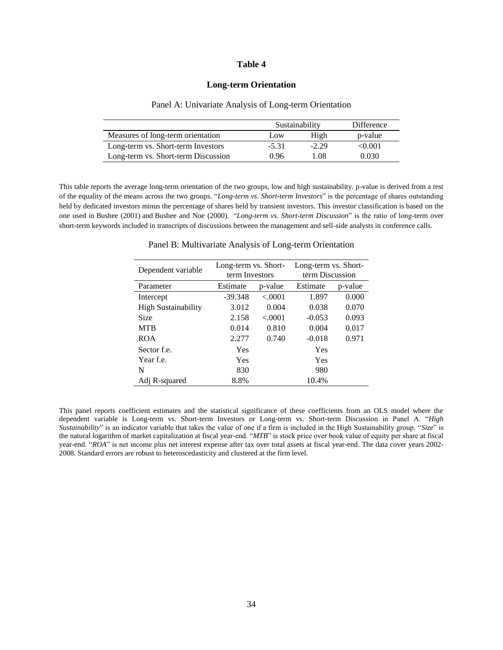#### **Table 4**

#### **Long-term Orientation**

|                                     | Sustainability |         | Difference |
|-------------------------------------|----------------|---------|------------|
| Measures of long-term orientation   | Low            | High    | p-value    |
| Long-term vs. Short-term Investors  | $-5.31$        | $-2.29$ | < 0.001    |
| Long-term vs. Short-term Discussion | 0.96           | 1.08    | 0.030      |

Panel A: Univariate Analysis of Long-term Orientation

This table reports the average long-term orientation of the two groups, low and high sustainability. p-value is derived from a test of the equality of the means across the two groups. "Long-term vs. Short-term Investors" is the percentage of shares outstanding held by dedicated investors minus the percentage of shares held by transient investors. This investor classification is based on the one used in Bushee (2001) and Bushee and Noe (2000). "Long-term vs. Short-term Discussion" is the ratio of long-term over short-term keywords included in transcripts of discussions between the management and sell-side analysts in conference calls.

| Dependent variable         | Long-term vs. Short-<br>term Investors |         | Long-term vs. Short-<br>term Discussion |         |
|----------------------------|----------------------------------------|---------|-----------------------------------------|---------|
| Parameter                  | Estimate                               | p-value | Estimate                                | p-value |
| Intercept                  | $-39.348$                              | < 0001  | 1.897                                   | 0.000   |
| <b>High Sustainability</b> | 3.012                                  | 0.004   | 0.038                                   | 0.070   |
| <b>Size</b>                | 2.158                                  | < 0001  | $-0.053$                                | 0.093   |
| <b>MTB</b>                 | 0.014                                  | 0.810   | 0.004                                   | 0.017   |
| <b>ROA</b>                 | 2.277                                  | 0.740   | $-0.018$                                | 0.971   |
| Sector f.e.                | Yes                                    |         | Yes                                     |         |
| Year f.e.                  | Yes                                    |         | Yes                                     |         |
| N                          | 830                                    |         | 980                                     |         |
| Adj R-squared              | 8.8%                                   |         | 10.4%                                   |         |

Panel B: Multivariate Analysis of Long-term Orientation

This panel reports coefficient estimates and the statistical significance of these coefficients from an OLS model where the dependent variable is Long-term vs. Short-term Investors or Long-term vs. Short-term Discussion in Panel A. "High *Sustainability*" is an indicator variable that takes the value of one if a firm is included in the High Sustainability group. "Size" is the natural logarithm of market capitalization at fiscal year-end. "*MTB*" is stock price over book value of equity per share at fiscal year-end. "*ROA*" is net income plus net interest expense after tax over total assets at fiscal year-end. The data cover years 2002-2008. Standard errors are robust to heteroscedasticity and clustered at the firm level.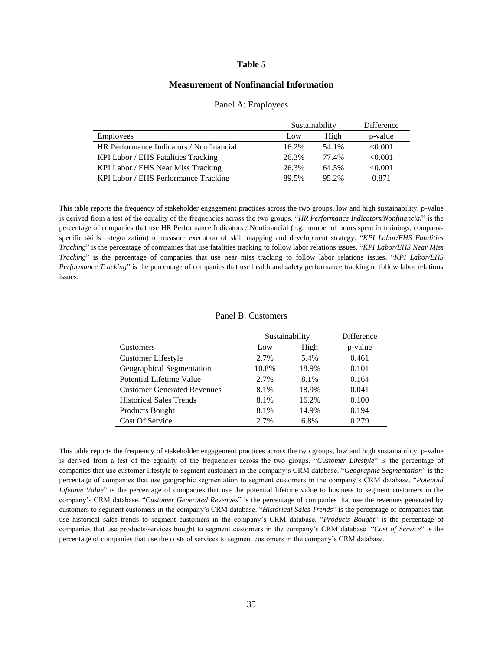#### **Table 5**

#### **Measurement of Nonfinancial Information**

|                                          | Sustainability |       | Difference |
|------------------------------------------|----------------|-------|------------|
| Employees                                | Low            | High  | p-value    |
| HR Performance Indicators / Nonfinancial | 16.2%          | 54.1% | < 0.001    |
| KPI Labor / EHS Fatalities Tracking      | 26.3%          | 77.4% | < 0.001    |
| KPI Labor / EHS Near Miss Tracking       | 26.3%          | 64.5% | < 0.001    |
| KPI Labor / EHS Performance Tracking     | 89.5%          | 95.2% | 0.871      |

#### Panel A: Employees

This table reports the frequency of stakeholder engagement practices across the two groups, low and high sustainability. p-value is derived from a test of the equality of the frequencies across the two groups. "*HR Performance Indicators/Nonfinancial*" is the percentage of companies that use HR Performance Indicators / Nonfinancial (e.g. number of hours spent in trainings, companyspecific skills categorization) to measure execution of skill mapping and development strategy. "KPI Labor/EHS Fatalities *Tracking*‖ is the percentage of companies that use fatalities tracking to follow labor relations issues. ―*KPI Labor/EHS Near Miss Tracking*‖ is the percentage of companies that use near miss tracking to follow labor relations issues. ―*KPI Labor/EHS Performance Tracking*" is the percentage of companies that use health and safety performance tracking to follow labor relations issues.

|                                    | Sustainability | <b>Difference</b> |         |
|------------------------------------|----------------|-------------------|---------|
| <b>Customers</b>                   | Low            | High              | p-value |
| <b>Customer Lifestyle</b>          | 2.7%           | 5.4%              | 0.461   |
| Geographical Segmentation          | 10.8%          | 18.9%             | 0.101   |
| Potential Lifetime Value           | 2.7%           | 8.1%              | 0.164   |
| <b>Customer Generated Revenues</b> | 8.1%           | 18.9%             | 0.041   |
| <b>Historical Sales Trends</b>     | 8.1%           | 16.2%             | 0.100   |
| <b>Products Bought</b>             | 8.1%           | 14.9%             | 0.194   |
| Cost Of Service                    | 2.7%           | 6.8%              | 0.279   |

This table reports the frequency of stakeholder engagement practices across the two groups, low and high sustainability. p-value is derived from a test of the equality of the frequencies across the two groups. "Customer Lifestyle" is the percentage of companies that use customer lifestyle to segment customers in the company's CRM database. "Geographic Segmentation" is the percentage of companies that use geographic segmentation to segment customers in the company's CRM database. "*Potential Lifetime Value*" is the percentage of companies that use the potential lifetime value to business to segment customers in the company's CRM database. "Customer Generated Revenues" is the percentage of companies that use the revenues generated by customers to segment customers in the company's CRM database. "Historical Sales Trends" is the percentage of companies that use historical sales trends to segment customers in the company's CRM database. "*Products Bought*" is the percentage of companies that use products/services bought to segment customers in the company's CRM database. "Cost of Service" is the percentage of companies that use the costs of services to segment customers in the company's CRM database.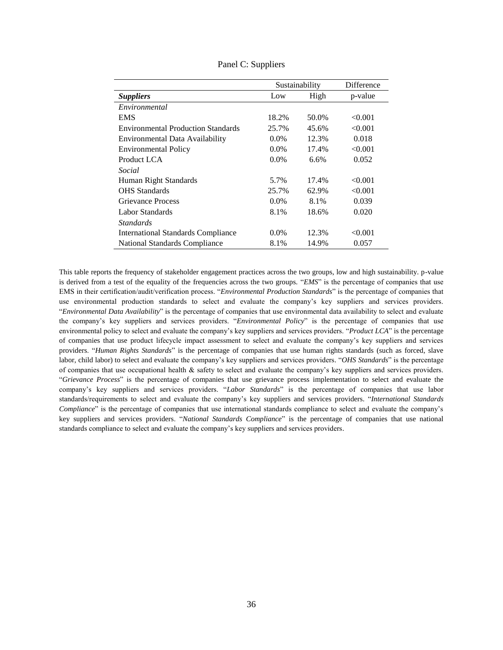|                                           |         | Sustainability | Difference |
|-------------------------------------------|---------|----------------|------------|
| <i>Suppliers</i>                          | Low     | High           | p-value    |
| Environmental                             |         |                |            |
| <b>EMS</b>                                | 18.2%   | 50.0%          | < 0.001    |
| <b>Environmental Production Standards</b> | 25.7%   | 45.6%          | < 0.001    |
| <b>Environmental Data Availability</b>    | $0.0\%$ | 12.3%          | 0.018      |
| <b>Environmental Policy</b>               | $0.0\%$ | 17.4%          | < 0.001    |
| Product LCA                               | $0.0\%$ | $6.6\%$        | 0.052      |
| Social                                    |         |                |            |
| Human Right Standards                     | 5.7%    | 17.4%          | < 0.001    |
| <b>OHS</b> Standards                      | 25.7%   | 62.9%          | < 0.001    |
| <b>Grievance Process</b>                  | $0.0\%$ | 8.1%           | 0.039      |
| Labor Standards                           | 8.1%    | 18.6%          | 0.020      |
| <i>Standards</i>                          |         |                |            |
| <b>International Standards Compliance</b> | $0.0\%$ | 12.3%          | < 0.001    |
| National Standards Compliance             | 8.1%    | 14.9%          | 0.057      |

#### Panel C: Suppliers

This table reports the frequency of stakeholder engagement practices across the two groups, low and high sustainability. p-value is derived from a test of the equality of the frequencies across the two groups. "*EMS*" is the percentage of companies that use EMS in their certification/audit/verification process. ―*Environmental Production Standards*‖ is the percentage of companies that use environmental production standards to select and evaluate the company's key suppliers and services providers. ―*Environmental Data Availability*‖ is the percentage of companies that use environmental data availability to select and evaluate the company's key suppliers and services providers. "Environmental Policy" is the percentage of companies that use environmental policy to select and evaluate the company's key suppliers and services providers. "*Product LCA*" is the percentage of companies that use product lifecycle impact assessment to select and evaluate the company's key suppliers and services providers. "Human Rights Standards" is the percentage of companies that use human rights standards (such as forced, slave labor, child labor) to select and evaluate the company's key suppliers and services providers. "OHS Standards" is the percentage of companies that use occupational health & safety to select and evaluate the company's key suppliers and services providers. ―*Grievance Process*‖ is the percentage of companies that use grievance process implementation to select and evaluate the company's key suppliers and services providers. "Labor Standards" is the percentage of companies that use labor standards/requirements to select and evaluate the company's key suppliers and services providers. ―*International Standards Compliance*" is the percentage of companies that use international standards compliance to select and evaluate the company's key suppliers and services providers. "National Standards Compliance" is the percentage of companies that use national standards compliance to select and evaluate the company's key suppliers and services providers.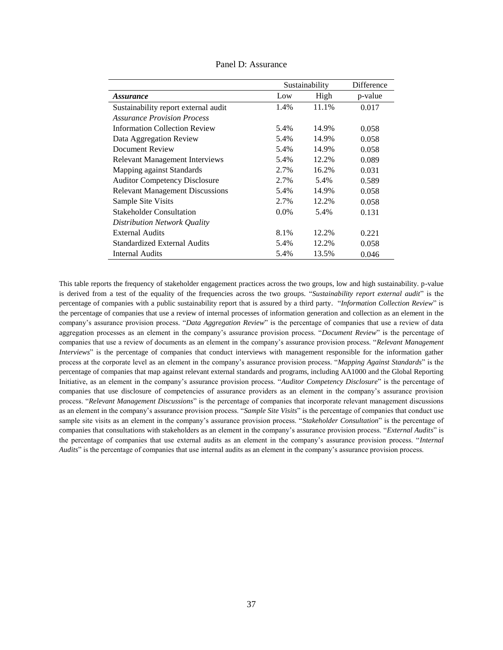|                                        | Sustainability | Difference |         |
|----------------------------------------|----------------|------------|---------|
| <i><b>Assurance</b></i>                | Low            | High       | p-value |
| Sustainability report external audit   | 1.4%           | 11.1%      | 0.017   |
| <b>Assurance Provision Process</b>     |                |            |         |
| Information Collection Review          | 5.4%           | 14.9%      | 0.058   |
| Data Aggregation Review                | 5.4%           | 14.9%      | 0.058   |
| Document Review                        | 5.4%           | 14.9%      | 0.058   |
| <b>Relevant Management Interviews</b>  | 5.4%           | 12.2%      | 0.089   |
| Mapping against Standards              | 2.7%           | 16.2%      | 0.031   |
| <b>Auditor Competency Disclosure</b>   | 2.7%           | 5.4%       | 0.589   |
| <b>Relevant Management Discussions</b> | 5.4%           | 14.9%      | 0.058   |
| Sample Site Visits                     | 2.7%           | 12.2%      | 0.058   |
| <b>Stakeholder Consultation</b>        | $0.0\%$        | 5.4%       | 0.131   |
| Distribution Network Quality           |                |            |         |
| External Audits                        | 8.1%           | 12.2%      | 0.221   |
| <b>Standardized External Audits</b>    | 5.4%           | 12.2%      | 0.058   |
| <b>Internal Audits</b>                 | 5.4%           | 13.5%      | 0.046   |

Panel D: Assurance

This table reports the frequency of stakeholder engagement practices across the two groups, low and high sustainability. p-value is derived from a test of the equality of the frequencies across the two groups. "Sustainability report external audit" is the percentage of companies with a public sustainability report that is assured by a third party. "*Information Collection Review*" is the percentage of companies that use a review of internal processes of information generation and collection as an element in the company's assurance provision process. "*Data Aggregation Review*" is the percentage of companies that use a review of data aggregation processes as an element in the company's assurance provision process. "Document Review" is the percentage of companies that use a review of documents as an element in the company's assurance provision process. "Relevant Management *Interviews*‖ is the percentage of companies that conduct interviews with management responsible for the information gather process at the corporate level as an element in the company's assurance provision process. "*Mapping Against Standards*" is the percentage of companies that map against relevant external standards and programs, including AA1000 and the Global Reporting Initiative, as an element in the company's assurance provision process. "Auditor Competency Disclosure" is the percentage of companies that use disclosure of competencies of assurance providers as an element in the company's assurance provision process. ―*Relevant Management Discussions*‖ is the percentage of companies that incorporate relevant management discussions as an element in the company's assurance provision process. "Sample Site Visits" is the percentage of companies that conduct use sample site visits as an element in the company's assurance provision process. "Stakeholder Consultation" is the percentage of companies that consultations with stakeholders as an element in the company's assurance provision process. "*External Audits*" is the percentage of companies that use external audits as an element in the company's assurance provision process. ―*Internal Audits*" is the percentage of companies that use internal audits as an element in the company's assurance provision process.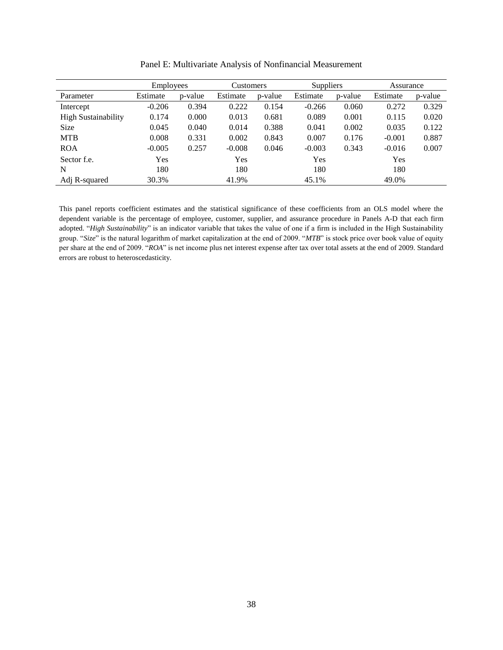|                            | <b>Employees</b> |         | <b>Customers</b> |         | <b>Suppliers</b> |         | Assurance |         |
|----------------------------|------------------|---------|------------------|---------|------------------|---------|-----------|---------|
| Parameter                  | Estimate         | p-value | Estimate         | p-value | Estimate         | p-value | Estimate  | p-value |
| Intercept                  | $-0.206$         | 0.394   | 0.222            | 0.154   | $-0.266$         | 0.060   | 0.272     | 0.329   |
| <b>High Sustainability</b> | 0.174            | 0.000   | 0.013            | 0.681   | 0.089            | 0.001   | 0.115     | 0.020   |
| <b>Size</b>                | 0.045            | 0.040   | 0.014            | 0.388   | 0.041            | 0.002   | 0.035     | 0.122   |
| <b>MTB</b>                 | 0.008            | 0.331   | 0.002            | 0.843   | 0.007            | 0.176   | $-0.001$  | 0.887   |
| <b>ROA</b>                 | $-0.005$         | 0.257   | $-0.008$         | 0.046   | $-0.003$         | 0.343   | $-0.016$  | 0.007   |
| Sector f.e.                | Yes              |         | Yes              |         | Yes              |         | Yes       |         |
| N                          | 180              |         | 180              |         | 180              |         | 180       |         |
| Adj R-squared              | 30.3%            |         | 41.9%            |         | 45.1%            |         | 49.0%     |         |

Panel E: Multivariate Analysis of Nonfinancial Measurement

This panel reports coefficient estimates and the statistical significance of these coefficients from an OLS model where the dependent variable is the percentage of employee, customer, supplier, and assurance procedure in Panels A-D that each firm adopted. "High Sustainability" is an indicator variable that takes the value of one if a firm is included in the High Sustainability group. "Size" is the natural logarithm of market capitalization at the end of 2009. "*MTB*" is stock price over book value of equity per share at the end of 2009. "ROA" is net income plus net interest expense after tax over total assets at the end of 2009. Standard errors are robust to heteroscedasticity.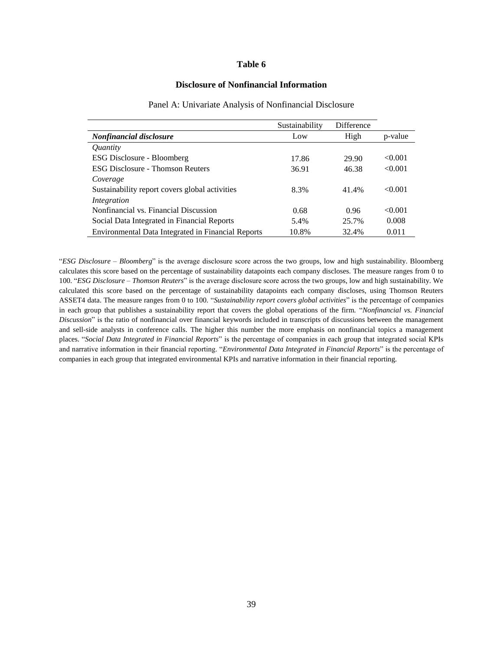#### **Table 6**

#### **Disclosure of Nonfinancial Information**

|                                                    | Sustainability | Difference |         |
|----------------------------------------------------|----------------|------------|---------|
| Nonfinancial disclosure                            | Low            | High       | p-value |
| <i>Ouantity</i>                                    |                |            |         |
| <b>ESG Disclosure - Bloomberg</b>                  | 17.86          | 29.90      | < 0.001 |
| <b>ESG Disclosure - Thomson Reuters</b>            | 36.91          | 46.38      | < 0.001 |
| Coverage                                           |                |            |         |
| Sustainability report covers global activities     | 8.3%           | 41.4%      | < 0.001 |
| Integration                                        |                |            |         |
| Nonfinancial vs. Financial Discussion              | 0.68           | 0.96       | < 0.001 |
| Social Data Integrated in Financial Reports        | 5.4%           | 25.7%      | 0.008   |
| Environmental Data Integrated in Financial Reports | 10.8%          | 32.4%      | 0.011   |

#### Panel A: Univariate Analysis of Nonfinancial Disclosure

―*ESG Disclosure – Bloomberg*‖ is the average disclosure score across the two groups, low and high sustainability. Bloomberg calculates this score based on the percentage of sustainability datapoints each company discloses. The measure ranges from 0 to 100. "ESG Disclosure - Thomson Reuters" is the average disclosure score across the two groups, low and high sustainability. We calculated this score based on the percentage of sustainability datapoints each company discloses, using Thomson Reuters ASSET4 data. The measure ranges from 0 to 100. "Sustainability report covers global activities" is the percentage of companies in each group that publishes a sustainability report that covers the global operations of the firm. "*Nonfinancial vs. Financial Discussion*‖ is the ratio of nonfinancial over financial keywords included in transcripts of discussions between the management and sell-side analysts in conference calls. The higher this number the more emphasis on nonfinancial topics a management places. "Social Data Integrated in Financial Reports" is the percentage of companies in each group that integrated social KPIs and narrative information in their financial reporting. "*Environmental Data Integrated in Financial Reports*" is the percentage of companies in each group that integrated environmental KPIs and narrative information in their financial reporting.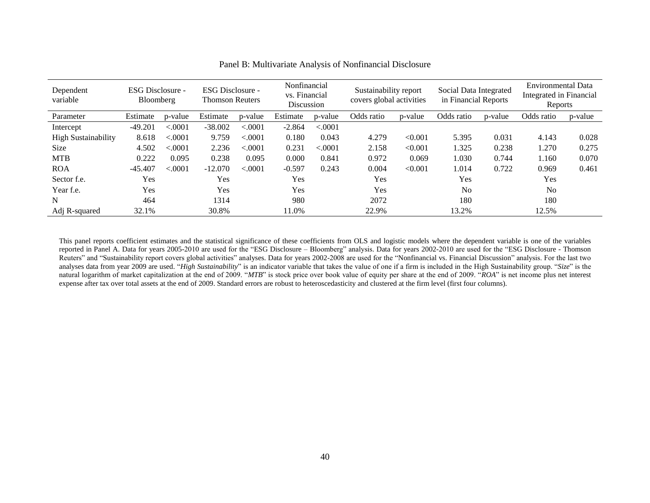| Dependent<br>variable      | <b>ESG Disclosure -</b><br>Bloomberg |          | <b>ESG Disclosure -</b><br><b>Thomson Reuters</b> |         | Nonfinancial<br>vs. Financial<br>Discussion |         | Sustainability report<br>covers global activities |         | Social Data Integrated<br>in Financial Reports |         | <b>Environmental Data</b><br>Integrated in Financial<br>Reports |         |
|----------------------------|--------------------------------------|----------|---------------------------------------------------|---------|---------------------------------------------|---------|---------------------------------------------------|---------|------------------------------------------------|---------|-----------------------------------------------------------------|---------|
| Parameter                  | Estimate                             | p-value  | Estimate                                          | p-value | Estimate                                    | p-value | Odds ratio                                        | p-value | Odds ratio                                     | p-value | Odds ratio                                                      | p-value |
| Intercept                  | $-49.201$                            | < 0.001  | $-38.002$                                         | < 0001  | $-2.864$                                    | < .0001 |                                                   |         |                                                |         |                                                                 |         |
| <b>High Sustainability</b> | 8.618                                | < 0.001  | 9.759                                             | < 0.001 | 0.180                                       | 0.043   | 4.279                                             | < 0.001 | 5.395                                          | 0.031   | 4.143                                                           | 0.028   |
| Size                       | 4.502                                | < 0.001  | 2.236                                             | < 0.001 | 0.231                                       | < 0001  | 2.158                                             | < 0.001 | 1.325                                          | 0.238   | 1.270                                                           | 0.275   |
| <b>MTB</b>                 | 0.222                                | 0.095    | 0.238                                             | 0.095   | 0.000                                       | 0.841   | 0.972                                             | 0.069   | 1.030                                          | 0.744   | 1.160                                                           | 0.070   |
| <b>ROA</b>                 | $-45.407$                            | < 0.0001 | $-12.070$                                         | < 0.001 | $-0.597$                                    | 0.243   | 0.004                                             | < 0.001 | 1.014                                          | 0.722   | 0.969                                                           | 0.461   |
| Sector f.e.                | Yes                                  |          | Yes                                               |         | Yes                                         |         | Yes                                               |         | Yes                                            |         | Yes                                                             |         |
| Year f.e.                  | Yes                                  |          | Yes                                               |         | Yes                                         |         | Yes                                               |         | N <sub>o</sub>                                 |         | N <sub>o</sub>                                                  |         |
| N                          | 464                                  |          | 1314                                              |         | 980                                         |         | 2072                                              |         | 180                                            |         | 180                                                             |         |
| Adj R-squared              | 32.1%                                |          | 30.8%                                             |         | 11.0%                                       |         | 22.9%                                             |         | 13.2%                                          |         | 12.5%                                                           |         |

Panel B: Multivariate Analysis of Nonfinancial Disclosure

This panel reports coefficient estimates and the statistical significance of these coefficients from OLS and logistic models where the dependent variable is one of the variables reported in Panel A. Data for years 2005-2010 are used for the "ESG Disclosure – Bloomberg" analysis. Data for years 2002-2010 are used for the "ESG Disclosure - Thomson Reuters" and "Sustainability report covers global activities" analyses. Data for years 2002-2008 are used for the "Nonfinancial vs. Financial Discussion" analysis. For the last two analyses data from year 2009 are used. "High Sustainability" is an indicator variable that takes the value of one if a firm is included in the High Sustainability group. "Size" is the natural logarithm of market capitalization at the end of 2009. "MTB" is stock price over book value of equity per share at the end of 2009. "ROA" is net income plus net interest expense after tax over total assets at the end of 2009. Standard errors are robust to heteroscedasticity and clustered at the firm level (first four columns).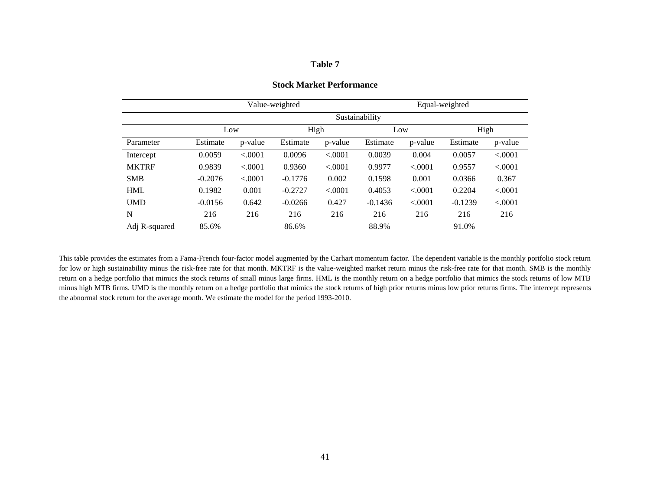#### **Table 7**

|               |           | Value-weighted |           |         |           | Equal-weighted |           |          |  |
|---------------|-----------|----------------|-----------|---------|-----------|----------------|-----------|----------|--|
|               |           | Sustainability |           |         |           |                |           |          |  |
|               | Low       |                |           | High    | Low       |                | High      |          |  |
| Parameter     | Estimate  | p-value        | Estimate  | p-value | Estimate  | p-value        | Estimate  | p-value  |  |
| Intercept     | 0.0059    | < .0001        | 0.0096    | < .0001 | 0.0039    | 0.004          | 0.0057    | < .0001  |  |
| <b>MKTRF</b>  | 0.9839    | < 0001         | 0.9360    | < 0.001 | 0.9977    | < .0001        | 0.9557    | < 0.0001 |  |
| <b>SMB</b>    | $-0.2076$ | < 0001         | $-0.1776$ | 0.002   | 0.1598    | 0.001          | 0.0366    | 0.367    |  |
| <b>HML</b>    | 0.1982    | 0.001          | $-0.2727$ | < .0001 | 0.4053    | < 0.001        | 0.2204    | < 0.0001 |  |
| <b>UMD</b>    | $-0.0156$ | 0.642          | $-0.0266$ | 0.427   | $-0.1436$ | < 0.0001       | $-0.1239$ | < 0.0001 |  |
| N             | 216       | 216            | 216       | 216     | 216       | 216            | 216       | 216      |  |
| Adj R-squared | 85.6%     |                | 86.6%     |         | 88.9%     |                | 91.0%     |          |  |

#### **Stock Market Performance**

This table provides the estimates from a Fama-French four-factor model augmented by the Carhart momentum factor. The dependent variable is the monthly portfolio stock return for low or high sustainability minus the risk-free rate for that month. MKTRF is the value-weighted market return minus the risk-free rate for that month. SMB is the monthly return on a hedge portfolio that mimics the stock returns of small minus large firms. HML is the monthly return on a hedge portfolio that mimics the stock returns of low MTB minus high MTB firms. UMD is the monthly return on a hedge portfolio that mimics the stock returns of high prior returns minus low prior returns firms. The intercept represents the abnormal stock return for the average month. We estimate the model for the period 1993-2010.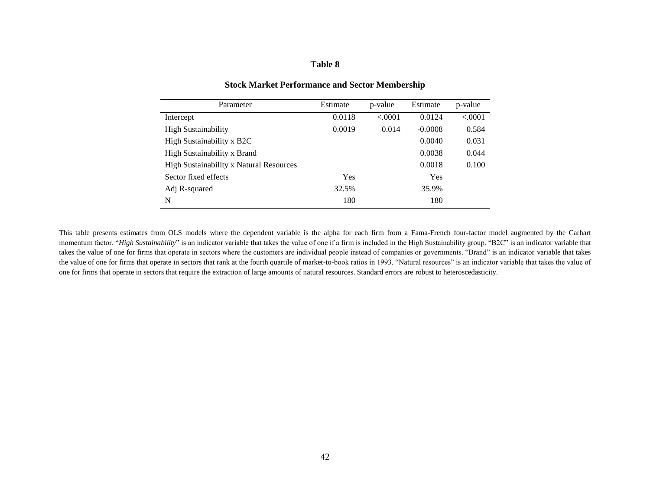#### **Table 8**

| Parameter                               | Estimate | p-value | Estimate  | p-value |
|-----------------------------------------|----------|---------|-----------|---------|
| Intercept                               | 0.0118   | < .0001 | 0.0124    | < .0001 |
| <b>High Sustainability</b>              | 0.0019   | 0.014   | $-0.0008$ | 0.584   |
| High Sustainability x B2C               |          |         | 0.0040    | 0.031   |
| High Sustainability x Brand             |          |         | 0.0038    | 0.044   |
| High Sustainability x Natural Resources |          |         | 0.0018    | 0.100   |
| Sector fixed effects                    | Yes      |         | Yes       |         |
| Adj R-squared                           | 32.5%    |         | 35.9%     |         |
| N                                       | 180      |         | 180       |         |

#### **Stock Market Performance and Sector Membership**

This table presents estimates from OLS models where the dependent variable is the alpha for each firm from a Fama-French four-factor model augmented by the Carhart momentum factor. "High Sustainability" is an indicator variable that takes the value of one if a firm is included in the High Sustainability group. "B2C" is an indicator variable that takes the value of one for firms that operate in sectors where the customers are individual people instead of companies or governments. "Brand" is an indicator variable that takes the value of one for firms that operate in sectors that rank at the fourth quartile of market-to-book ratios in 1993. "Natural resources" is an indicator variable that takes the value of one for firms that operate in sectors that require the extraction of large amounts of natural resources. Standard errors are robust to heteroscedasticity.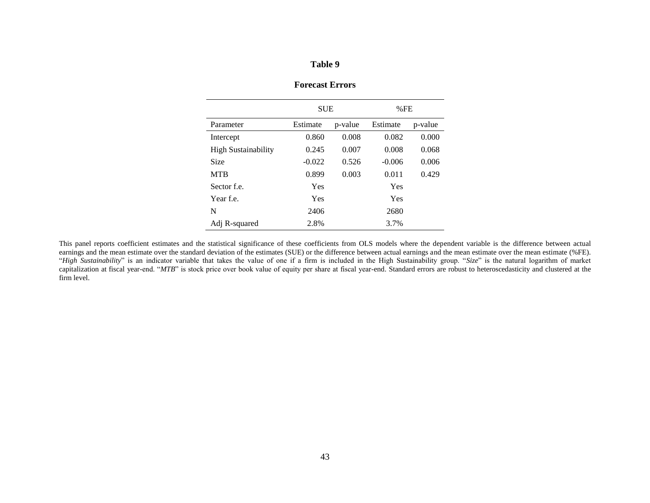| 'able |  |
|-------|--|
|-------|--|

| <b>Forecast Errors</b> |  |
|------------------------|--|
|------------------------|--|

|                            | <b>SUE</b> |         | %FE      |         |  |
|----------------------------|------------|---------|----------|---------|--|
| Parameter                  | Estimate   | p-value | Estimate | p-value |  |
| Intercept                  | 0.860      | 0.008   | 0.082    | 0.000   |  |
| <b>High Sustainability</b> | 0.245      | 0.007   | 0.008    | 0.068   |  |
| Size                       | $-0.022$   | 0.526   | $-0.006$ | 0.006   |  |
| <b>MTB</b>                 | 0.899      | 0.003   | 0.011    | 0.429   |  |
| Sector f.e.                | Yes        |         | Yes      |         |  |
| Year f.e.                  | Yes        |         | Yes      |         |  |
| N                          | 2406       |         | 2680     |         |  |
| Adj R-squared              | 2.8%       |         | 3.7%     |         |  |

This panel reports coefficient estimates and the statistical significance of these coefficients from OLS models where the dependent variable is the difference between actual earnings and the mean estimate over the standard deviation of the estimates (SUE) or the difference between actual earnings and the mean estimate over the mean estimate (%FE). ―*High Sustainability*‖ is an indicator variable that takes the value of one if a firm is included in the High Sustainability group. ―*Size*‖ is the natural logarithm of market capitalization at fiscal year-end. "*MTB*" is stock price over book value of equity per share at fiscal year-end. Standard errors are robust to heteroscedasticity and clustered at the firm level.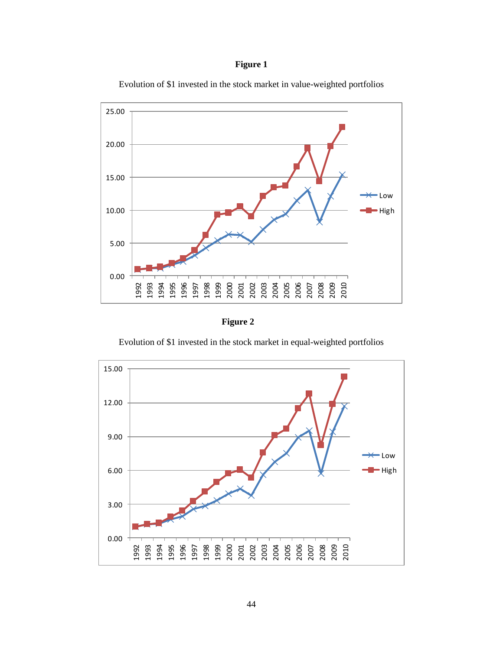### **Figure 1**



Evolution of \$1 invested in the stock market in value-weighted portfolios

**Figure 2**

Evolution of \$1 invested in the stock market in equal-weighted portfolios

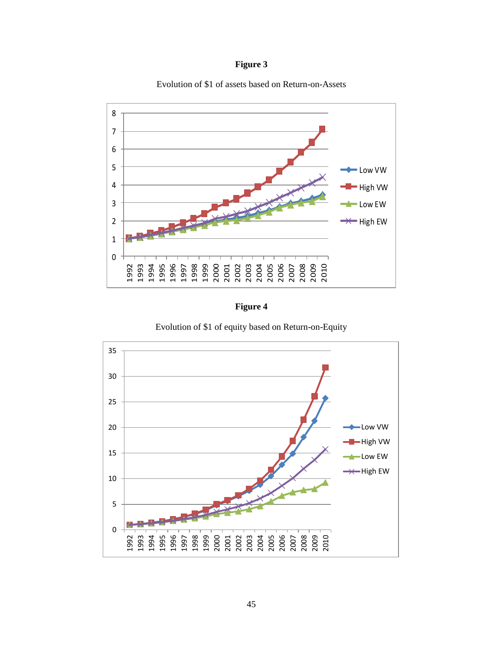| Ħ.<br>юш |  |
|----------|--|
|----------|--|

Evolution of \$1 of assets based on Return-on-Assets



**Figure 4**

Evolution of \$1 of equity based on Return-on-Equity